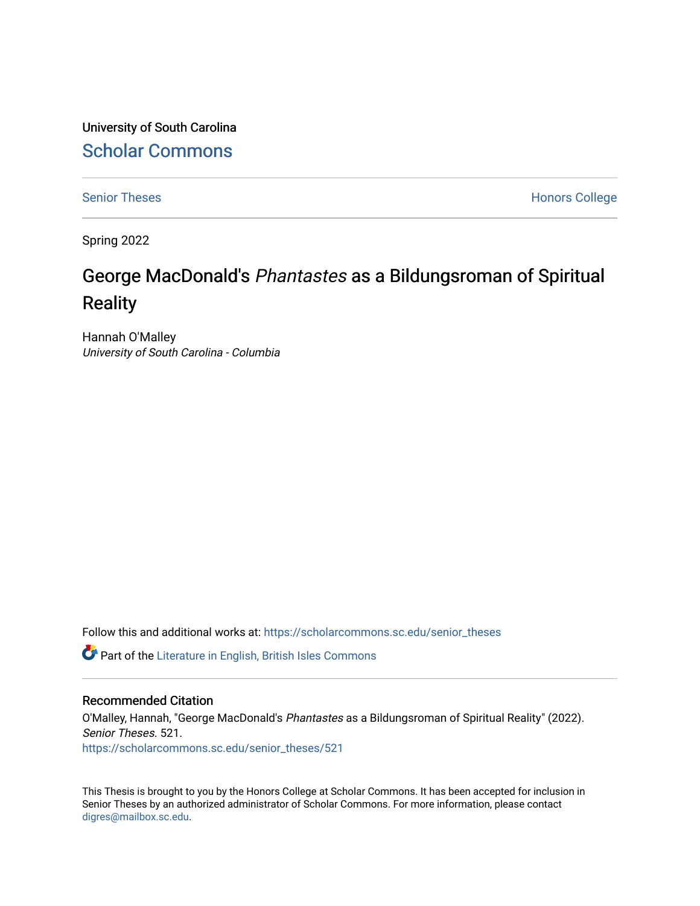University of South Carolina [Scholar Commons](https://scholarcommons.sc.edu/) 

[Senior Theses](https://scholarcommons.sc.edu/senior_theses) **Honors College** Honors College

Spring 2022

# George MacDonald's Phantastes as a Bildungsroman of Spiritual **Reality**

Hannah O'Malley University of South Carolina - Columbia

Follow this and additional works at: [https://scholarcommons.sc.edu/senior\\_theses](https://scholarcommons.sc.edu/senior_theses?utm_source=scholarcommons.sc.edu%2Fsenior_theses%2F521&utm_medium=PDF&utm_campaign=PDFCoverPages) 

**C** Part of the [Literature in English, British Isles Commons](http://network.bepress.com/hgg/discipline/456?utm_source=scholarcommons.sc.edu%2Fsenior_theses%2F521&utm_medium=PDF&utm_campaign=PDFCoverPages)

# Recommended Citation

O'Malley, Hannah, "George MacDonald's Phantastes as a Bildungsroman of Spiritual Reality" (2022). Senior Theses. 521. [https://scholarcommons.sc.edu/senior\\_theses/521](https://scholarcommons.sc.edu/senior_theses/521?utm_source=scholarcommons.sc.edu%2Fsenior_theses%2F521&utm_medium=PDF&utm_campaign=PDFCoverPages) 

This Thesis is brought to you by the Honors College at Scholar Commons. It has been accepted for inclusion in Senior Theses by an authorized administrator of Scholar Commons. For more information, please contact [digres@mailbox.sc.edu](mailto:digres@mailbox.sc.edu).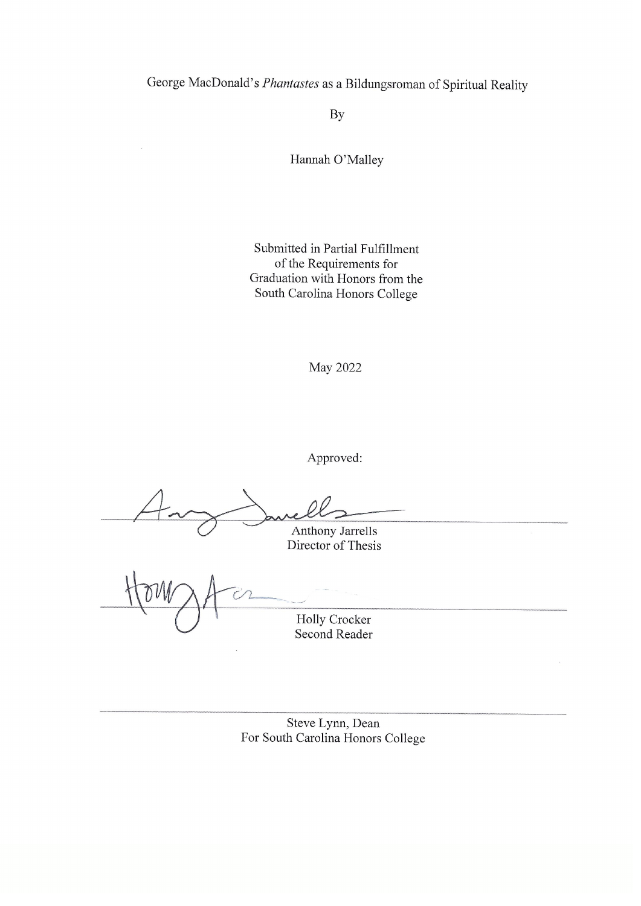# George MacDonald's Phantastes as a Bildungsroman of Spiritual Reality

**By** 

Hannah O'Malley

Submitted in Partial Fulfillment of the Requirements for Graduation with Honors from the South Carolina Honors College

May 2022

Approved:

 $\begin{picture}(180,10) \put(0,0){\line(1,0){10}} \put(10,0){\line(1,0){10}} \put(10,0){\line(1,0){10}} \put(10,0){\line(1,0){10}} \put(10,0){\line(1,0){10}} \put(10,0){\line(1,0){10}} \put(10,0){\line(1,0){10}} \put(10,0){\line(1,0){10}} \put(10,0){\line(1,0){10}} \put(10,0){\line(1,0){10}} \put(10,0){\line(1,0){10}} \put(10,0){\line($ Anthony Jarrells Director of Thesis

Holly Crocker Second Reader

Steve Lynn, Dean For South Carolina Honors College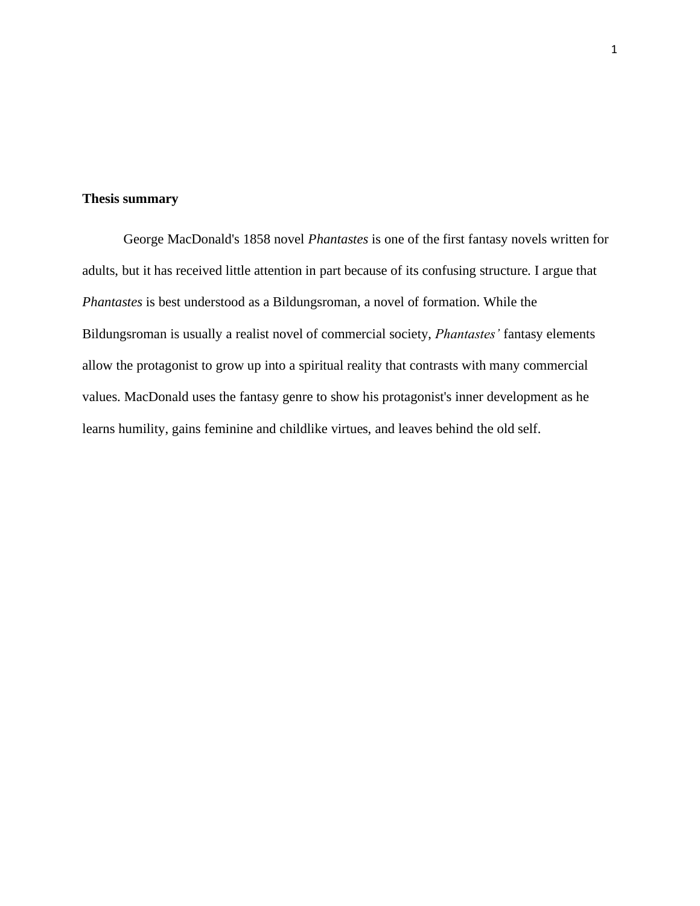# **Thesis summary**

George MacDonald's 1858 novel *Phantastes* is one of the first fantasy novels written for adults, but it has received little attention in part because of its confusing structure. I argue that *Phantastes* is best understood as a Bildungsroman, a novel of formation. While the Bildungsroman is usually a realist novel of commercial society, *Phantastes'* fantasy elements allow the protagonist to grow up into a spiritual reality that contrasts with many commercial values. MacDonald uses the fantasy genre to show his protagonist's inner development as he learns humility, gains feminine and childlike virtues, and leaves behind the old self.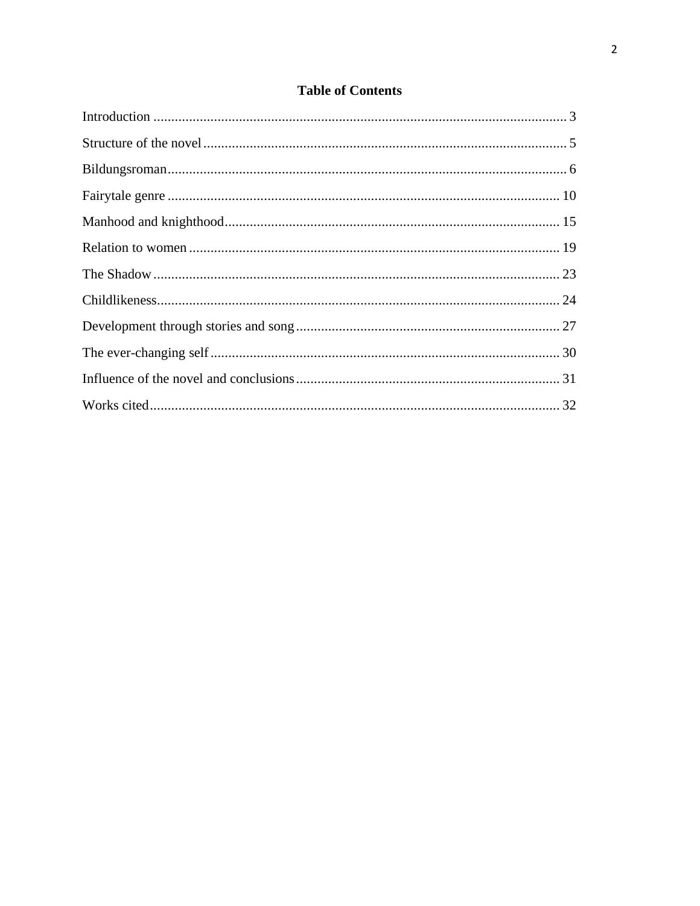# **Table of Contents**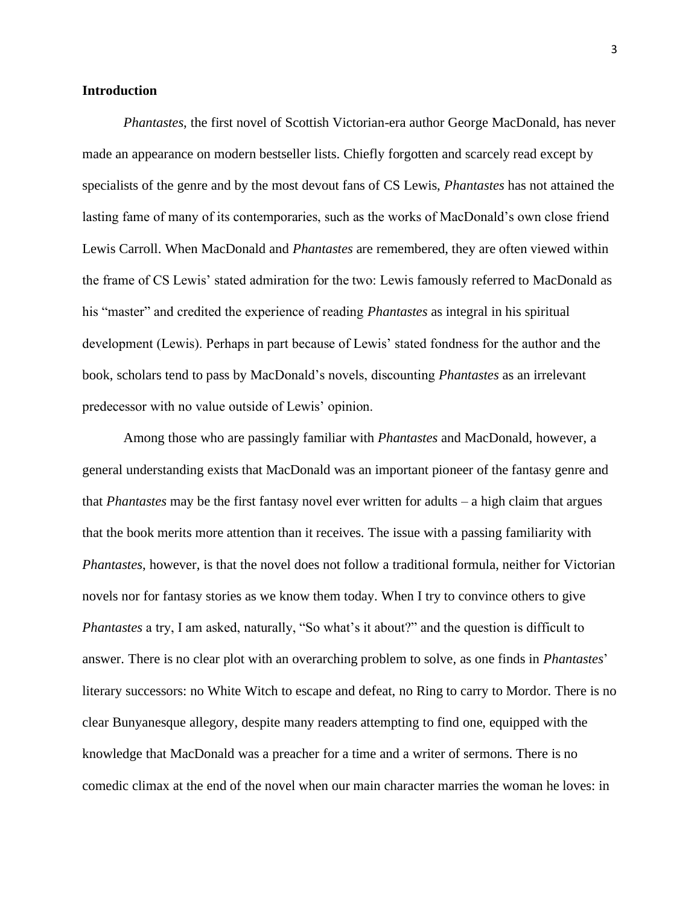## **Introduction**

*Phantastes*, the first novel of Scottish Victorian-era author George MacDonald, has never made an appearance on modern bestseller lists. Chiefly forgotten and scarcely read except by specialists of the genre and by the most devout fans of CS Lewis, *Phantastes* has not attained the lasting fame of many of its contemporaries, such as the works of MacDonald's own close friend Lewis Carroll. When MacDonald and *Phantastes* are remembered, they are often viewed within the frame of CS Lewis' stated admiration for the two: Lewis famously referred to MacDonald as his "master" and credited the experience of reading *Phantastes* as integral in his spiritual development (Lewis). Perhaps in part because of Lewis' stated fondness for the author and the book, scholars tend to pass by MacDonald's novels, discounting *Phantastes* as an irrelevant predecessor with no value outside of Lewis' opinion.

Among those who are passingly familiar with *Phantastes* and MacDonald, however, a general understanding exists that MacDonald was an important pioneer of the fantasy genre and that *Phantastes* may be the first fantasy novel ever written for adults – a high claim that argues that the book merits more attention than it receives. The issue with a passing familiarity with *Phantastes*, however, is that the novel does not follow a traditional formula, neither for Victorian novels nor for fantasy stories as we know them today. When I try to convince others to give *Phantastes* a try, I am asked, naturally, "So what's it about?" and the question is difficult to answer. There is no clear plot with an overarching problem to solve, as one finds in *Phantastes*' literary successors: no White Witch to escape and defeat, no Ring to carry to Mordor. There is no clear Bunyanesque allegory, despite many readers attempting to find one, equipped with the knowledge that MacDonald was a preacher for a time and a writer of sermons. There is no comedic climax at the end of the novel when our main character marries the woman he loves: in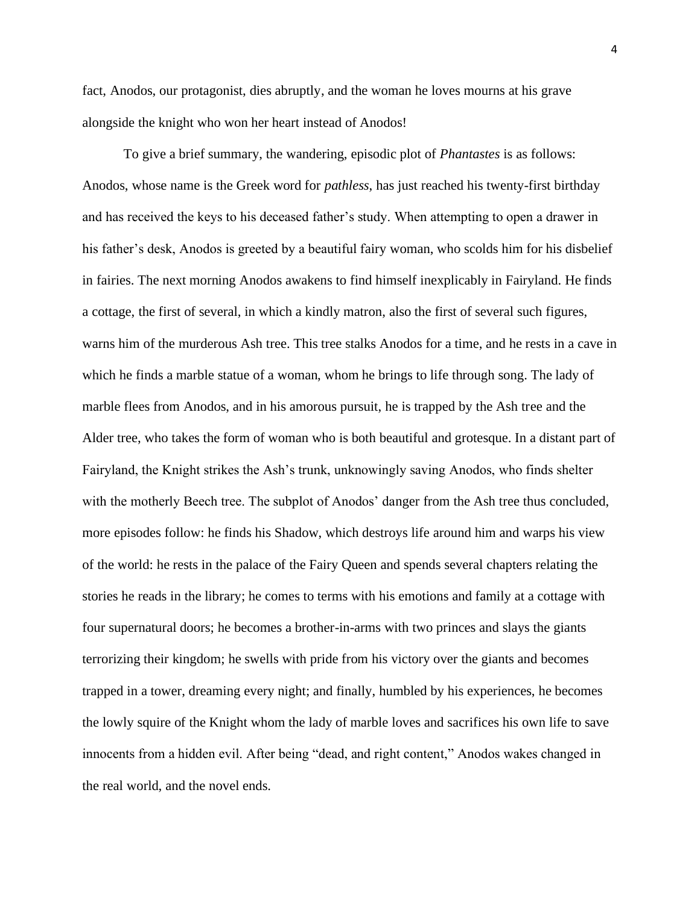fact, Anodos, our protagonist, dies abruptly, and the woman he loves mourns at his grave alongside the knight who won her heart instead of Anodos!

To give a brief summary, the wandering, episodic plot of *Phantastes* is as follows: Anodos, whose name is the Greek word for *pathless*, has just reached his twenty-first birthday and has received the keys to his deceased father's study. When attempting to open a drawer in his father's desk, Anodos is greeted by a beautiful fairy woman, who scolds him for his disbelief in fairies. The next morning Anodos awakens to find himself inexplicably in Fairyland. He finds a cottage, the first of several, in which a kindly matron, also the first of several such figures, warns him of the murderous Ash tree. This tree stalks Anodos for a time, and he rests in a cave in which he finds a marble statue of a woman, whom he brings to life through song. The lady of marble flees from Anodos, and in his amorous pursuit, he is trapped by the Ash tree and the Alder tree, who takes the form of woman who is both beautiful and grotesque. In a distant part of Fairyland, the Knight strikes the Ash's trunk, unknowingly saving Anodos, who finds shelter with the motherly Beech tree. The subplot of Anodos' danger from the Ash tree thus concluded, more episodes follow: he finds his Shadow, which destroys life around him and warps his view of the world: he rests in the palace of the Fairy Queen and spends several chapters relating the stories he reads in the library; he comes to terms with his emotions and family at a cottage with four supernatural doors; he becomes a brother-in-arms with two princes and slays the giants terrorizing their kingdom; he swells with pride from his victory over the giants and becomes trapped in a tower, dreaming every night; and finally, humbled by his experiences, he becomes the lowly squire of the Knight whom the lady of marble loves and sacrifices his own life to save innocents from a hidden evil. After being "dead, and right content," Anodos wakes changed in the real world, and the novel ends.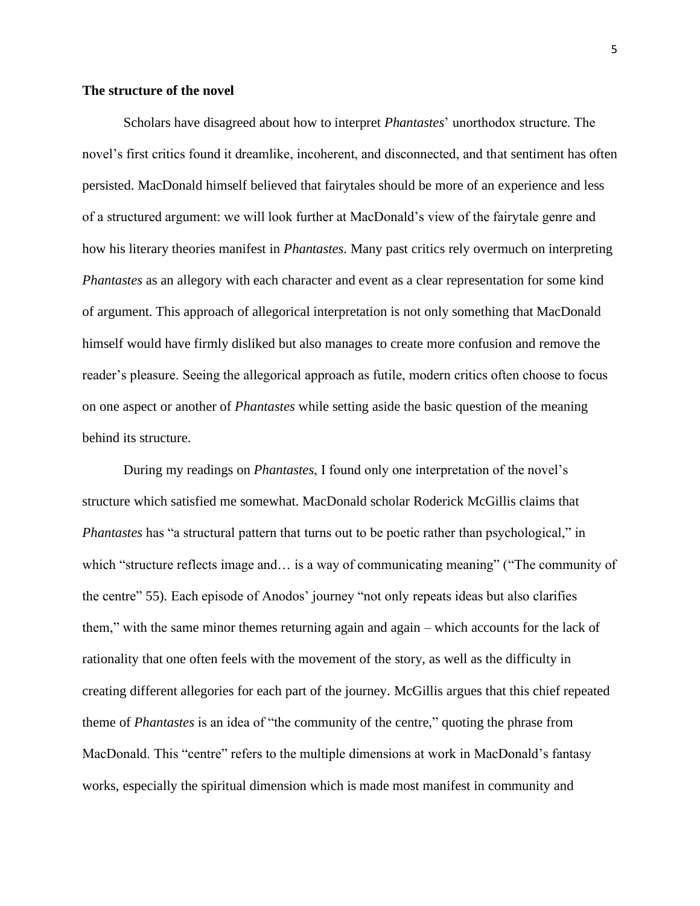## **The structure of the novel**

Scholars have disagreed about how to interpret *Phantastes*' unorthodox structure. The novel's first critics found it dreamlike, incoherent, and disconnected, and that sentiment has often persisted. MacDonald himself believed that fairytales should be more of an experience and less of a structured argument: we will look further at MacDonald's view of the fairytale genre and how his literary theories manifest in *Phantastes*. Many past critics rely overmuch on interpreting *Phantastes* as an allegory with each character and event as a clear representation for some kind of argument. This approach of allegorical interpretation is not only something that MacDonald himself would have firmly disliked but also manages to create more confusion and remove the reader's pleasure. Seeing the allegorical approach as futile, modern critics often choose to focus on one aspect or another of *Phantastes* while setting aside the basic question of the meaning behind its structure.

During my readings on *Phantastes*, I found only one interpretation of the novel's structure which satisfied me somewhat. MacDonald scholar Roderick McGillis claims that *Phantastes* has "a structural pattern that turns out to be poetic rather than psychological," in which "structure reflects image and… is a way of communicating meaning" ("The community of the centre" 55). Each episode of Anodos' journey "not only repeats ideas but also clarifies them," with the same minor themes returning again and again – which accounts for the lack of rationality that one often feels with the movement of the story, as well as the difficulty in creating different allegories for each part of the journey. McGillis argues that this chief repeated theme of *Phantastes* is an idea of "the community of the centre," quoting the phrase from MacDonald. This "centre" refers to the multiple dimensions at work in MacDonald's fantasy works, especially the spiritual dimension which is made most manifest in community and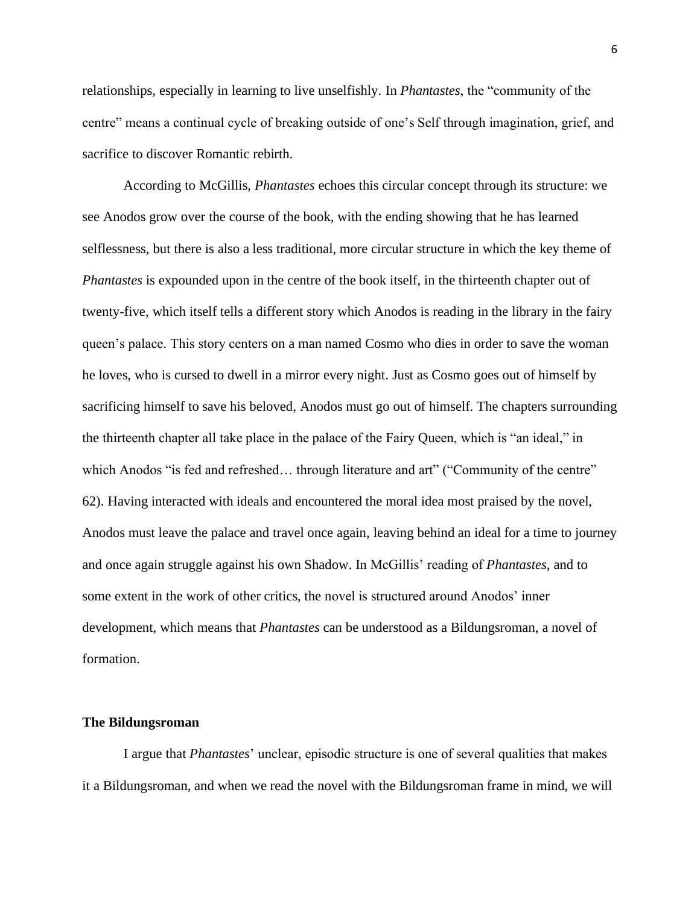relationships, especially in learning to live unselfishly. In *Phantastes*, the "community of the centre" means a continual cycle of breaking outside of one's Self through imagination, grief, and sacrifice to discover Romantic rebirth.

According to McGillis, *Phantastes* echoes this circular concept through its structure: we see Anodos grow over the course of the book, with the ending showing that he has learned selflessness, but there is also a less traditional, more circular structure in which the key theme of *Phantastes* is expounded upon in the centre of the book itself, in the thirteenth chapter out of twenty-five, which itself tells a different story which Anodos is reading in the library in the fairy queen's palace. This story centers on a man named Cosmo who dies in order to save the woman he loves, who is cursed to dwell in a mirror every night. Just as Cosmo goes out of himself by sacrificing himself to save his beloved, Anodos must go out of himself. The chapters surrounding the thirteenth chapter all take place in the palace of the Fairy Queen, which is "an ideal," in which Anodos "is fed and refreshed... through literature and art" ("Community of the centre" 62). Having interacted with ideals and encountered the moral idea most praised by the novel, Anodos must leave the palace and travel once again, leaving behind an ideal for a time to journey and once again struggle against his own Shadow. In McGillis' reading of *Phantastes*, and to some extent in the work of other critics, the novel is structured around Anodos' inner development, which means that *Phantastes* can be understood as a Bildungsroman, a novel of formation.

#### **The Bildungsroman**

I argue that *Phantastes*' unclear, episodic structure is one of several qualities that makes it a Bildungsroman, and when we read the novel with the Bildungsroman frame in mind, we will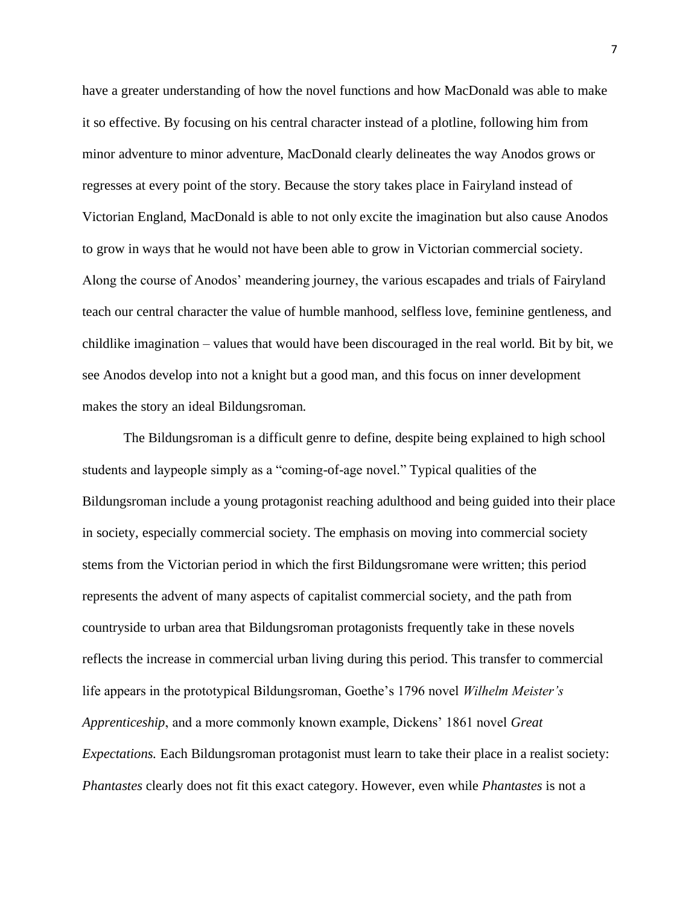have a greater understanding of how the novel functions and how MacDonald was able to make it so effective. By focusing on his central character instead of a plotline, following him from minor adventure to minor adventure, MacDonald clearly delineates the way Anodos grows or regresses at every point of the story. Because the story takes place in Fairyland instead of Victorian England, MacDonald is able to not only excite the imagination but also cause Anodos to grow in ways that he would not have been able to grow in Victorian commercial society. Along the course of Anodos' meandering journey, the various escapades and trials of Fairyland teach our central character the value of humble manhood, selfless love, feminine gentleness, and childlike imagination – values that would have been discouraged in the real world. Bit by bit, we see Anodos develop into not a knight but a good man, and this focus on inner development makes the story an ideal Bildungsroman.

The Bildungsroman is a difficult genre to define, despite being explained to high school students and laypeople simply as a "coming-of-age novel." Typical qualities of the Bildungsroman include a young protagonist reaching adulthood and being guided into their place in society, especially commercial society. The emphasis on moving into commercial society stems from the Victorian period in which the first Bildungsromane were written; this period represents the advent of many aspects of capitalist commercial society, and the path from countryside to urban area that Bildungsroman protagonists frequently take in these novels reflects the increase in commercial urban living during this period. This transfer to commercial life appears in the prototypical Bildungsroman, Goethe's 1796 novel *Wilhelm Meister's Apprenticeship*, and a more commonly known example, Dickens' 1861 novel *Great Expectations.* Each Bildungsroman protagonist must learn to take their place in a realist society: *Phantastes* clearly does not fit this exact category. However, even while *Phantastes* is not a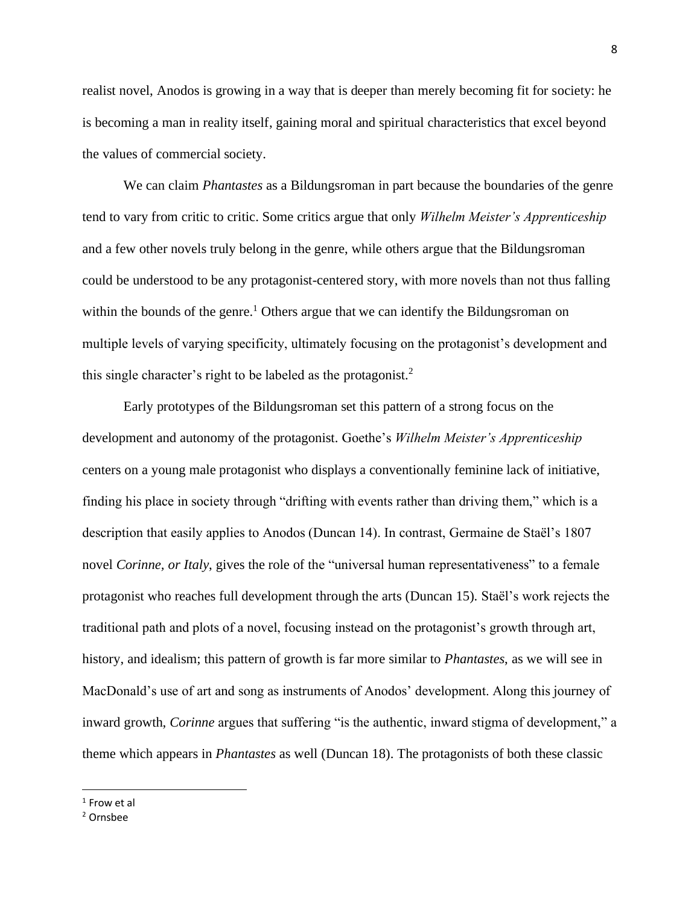realist novel, Anodos is growing in a way that is deeper than merely becoming fit for society: he is becoming a man in reality itself, gaining moral and spiritual characteristics that excel beyond the values of commercial society.

We can claim *Phantastes* as a Bildungsroman in part because the boundaries of the genre tend to vary from critic to critic. Some critics argue that only *Wilhelm Meister's Apprenticeship* and a few other novels truly belong in the genre, while others argue that the Bildungsroman could be understood to be any protagonist-centered story, with more novels than not thus falling within the bounds of the genre.<sup>1</sup> Others argue that we can identify the Bildungsroman on multiple levels of varying specificity, ultimately focusing on the protagonist's development and this single character's right to be labeled as the protagonist.<sup>2</sup>

Early prototypes of the Bildungsroman set this pattern of a strong focus on the development and autonomy of the protagonist. Goethe's *Wilhelm Meister's Apprenticeship* centers on a young male protagonist who displays a conventionally feminine lack of initiative, finding his place in society through "drifting with events rather than driving them," which is a description that easily applies to Anodos (Duncan 14). In contrast, Germaine de Staël's 1807 novel *Corinne, or Italy*, gives the role of the "universal human representativeness" to a female protagonist who reaches full development through the arts (Duncan 15). Staël's work rejects the traditional path and plots of a novel, focusing instead on the protagonist's growth through art, history, and idealism; this pattern of growth is far more similar to *Phantastes*, as we will see in MacDonald's use of art and song as instruments of Anodos' development. Along this journey of inward growth, *Corinne* argues that suffering "is the authentic, inward stigma of development," a theme which appears in *Phantastes* as well (Duncan 18). The protagonists of both these classic

<sup>1</sup> Frow et al

<sup>2</sup> Ornsbee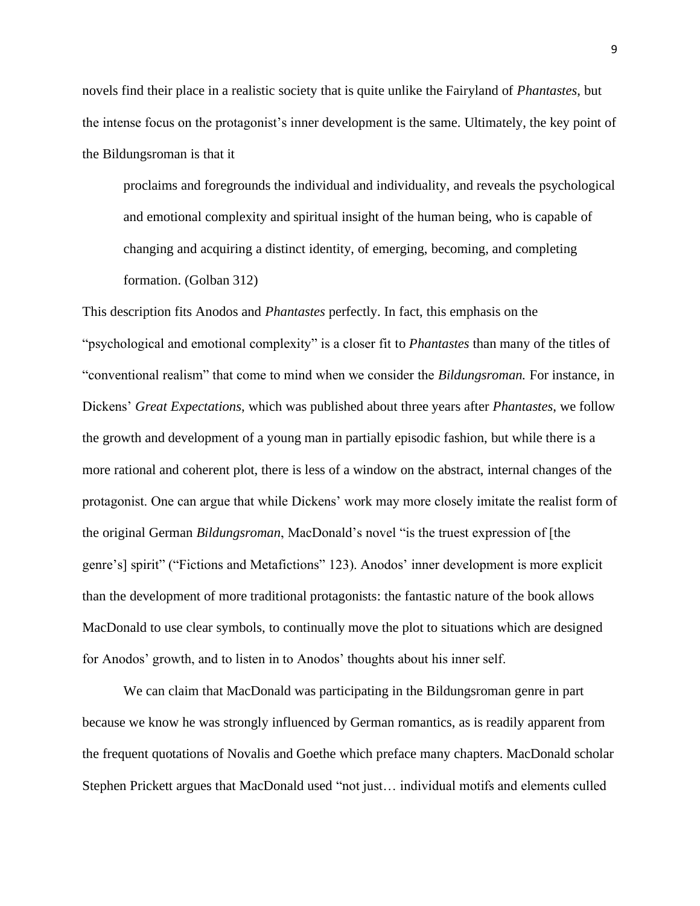novels find their place in a realistic society that is quite unlike the Fairyland of *Phantastes*, but the intense focus on the protagonist's inner development is the same. Ultimately, the key point of the Bildungsroman is that it

proclaims and foregrounds the individual and individuality, and reveals the psychological and emotional complexity and spiritual insight of the human being, who is capable of changing and acquiring a distinct identity, of emerging, becoming, and completing formation. (Golban 312)

This description fits Anodos and *Phantastes* perfectly. In fact, this emphasis on the "psychological and emotional complexity" is a closer fit to *Phantastes* than many of the titles of "conventional realism" that come to mind when we consider the *Bildungsroman.* For instance, in Dickens' *Great Expectations*, which was published about three years after *Phantastes*, we follow the growth and development of a young man in partially episodic fashion, but while there is a more rational and coherent plot, there is less of a window on the abstract, internal changes of the protagonist. One can argue that while Dickens' work may more closely imitate the realist form of the original German *Bildungsroman*, MacDonald's novel "is the truest expression of [the genre's] spirit" ("Fictions and Metafictions" 123). Anodos' inner development is more explicit than the development of more traditional protagonists: the fantastic nature of the book allows MacDonald to use clear symbols, to continually move the plot to situations which are designed for Anodos' growth, and to listen in to Anodos' thoughts about his inner self.

We can claim that MacDonald was participating in the Bildungsroman genre in part because we know he was strongly influenced by German romantics, as is readily apparent from the frequent quotations of Novalis and Goethe which preface many chapters. MacDonald scholar Stephen Prickett argues that MacDonald used "not just… individual motifs and elements culled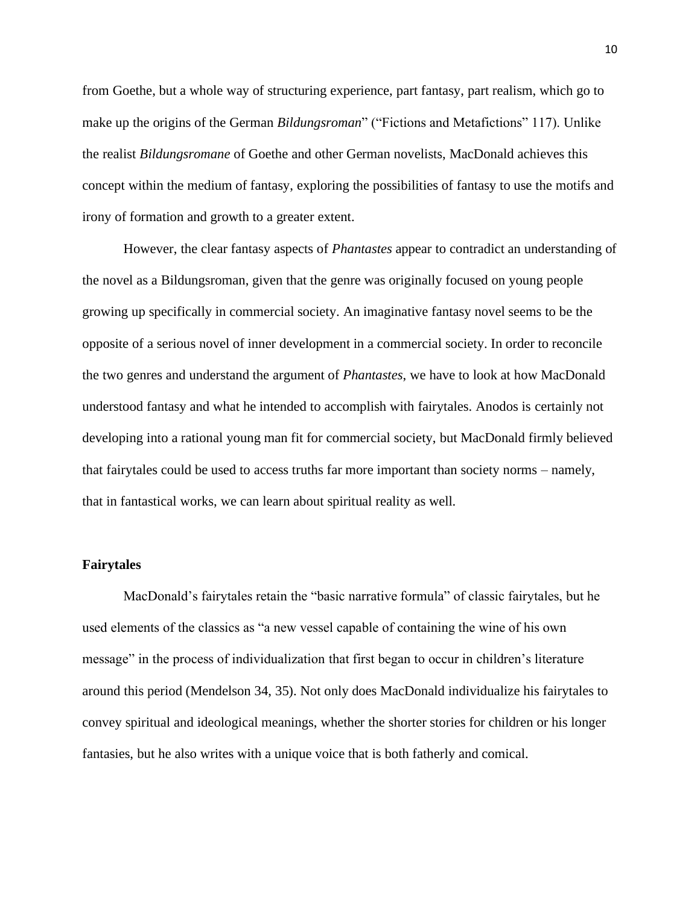from Goethe, but a whole way of structuring experience, part fantasy, part realism, which go to make up the origins of the German *Bildungsroman*" ("Fictions and Metafictions" 117). Unlike the realist *Bildungsromane* of Goethe and other German novelists, MacDonald achieves this concept within the medium of fantasy, exploring the possibilities of fantasy to use the motifs and irony of formation and growth to a greater extent.

However, the clear fantasy aspects of *Phantastes* appear to contradict an understanding of the novel as a Bildungsroman, given that the genre was originally focused on young people growing up specifically in commercial society. An imaginative fantasy novel seems to be the opposite of a serious novel of inner development in a commercial society. In order to reconcile the two genres and understand the argument of *Phantastes*, we have to look at how MacDonald understood fantasy and what he intended to accomplish with fairytales. Anodos is certainly not developing into a rational young man fit for commercial society, but MacDonald firmly believed that fairytales could be used to access truths far more important than society norms – namely, that in fantastical works, we can learn about spiritual reality as well.

#### **Fairytales**

MacDonald's fairytales retain the "basic narrative formula" of classic fairytales, but he used elements of the classics as "a new vessel capable of containing the wine of his own message" in the process of individualization that first began to occur in children's literature around this period (Mendelson 34, 35). Not only does MacDonald individualize his fairytales to convey spiritual and ideological meanings, whether the shorter stories for children or his longer fantasies, but he also writes with a unique voice that is both fatherly and comical.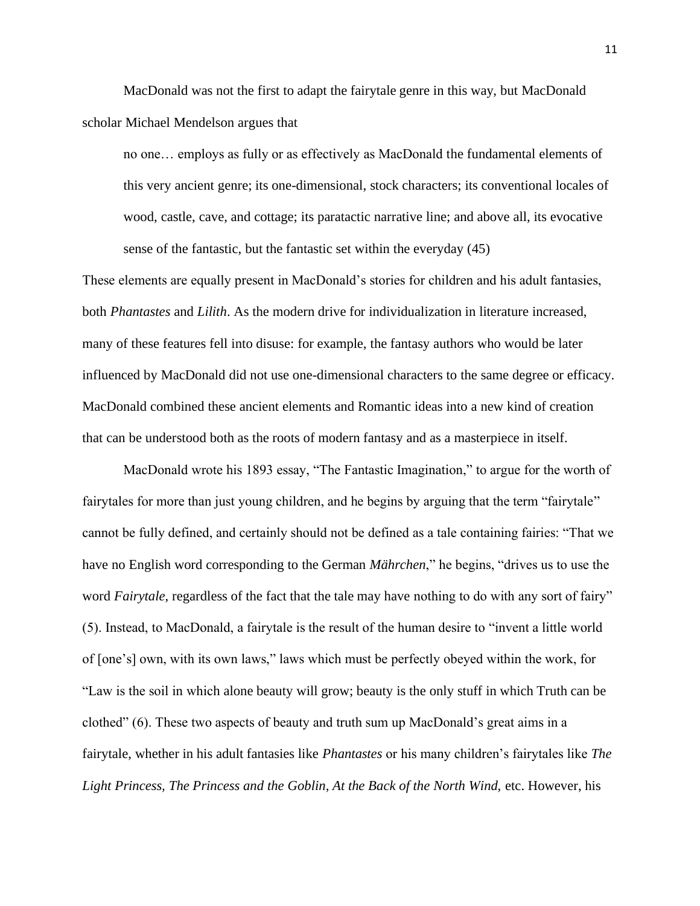MacDonald was not the first to adapt the fairytale genre in this way, but MacDonald scholar Michael Mendelson argues that

no one… employs as fully or as effectively as MacDonald the fundamental elements of this very ancient genre; its one-dimensional, stock characters; its conventional locales of wood, castle, cave, and cottage; its paratactic narrative line; and above all, its evocative sense of the fantastic, but the fantastic set within the everyday (45)

These elements are equally present in MacDonald's stories for children and his adult fantasies, both *Phantastes* and *Lilith*. As the modern drive for individualization in literature increased, many of these features fell into disuse: for example, the fantasy authors who would be later influenced by MacDonald did not use one-dimensional characters to the same degree or efficacy. MacDonald combined these ancient elements and Romantic ideas into a new kind of creation that can be understood both as the roots of modern fantasy and as a masterpiece in itself.

MacDonald wrote his 1893 essay, "The Fantastic Imagination," to argue for the worth of fairytales for more than just young children, and he begins by arguing that the term "fairytale" cannot be fully defined, and certainly should not be defined as a tale containing fairies: "That we have no English word corresponding to the German *Mährchen*," he begins, "drives us to use the word *Fairytale*, regardless of the fact that the tale may have nothing to do with any sort of fairy" (5). Instead, to MacDonald, a fairytale is the result of the human desire to "invent a little world of [one's] own, with its own laws," laws which must be perfectly obeyed within the work, for "Law is the soil in which alone beauty will grow; beauty is the only stuff in which Truth can be clothed" (6). These two aspects of beauty and truth sum up MacDonald's great aims in a fairytale, whether in his adult fantasies like *Phantastes* or his many children's fairytales like *The*  Light Princess, The Princess and the Goblin, At the Back of the North Wind, etc. However, his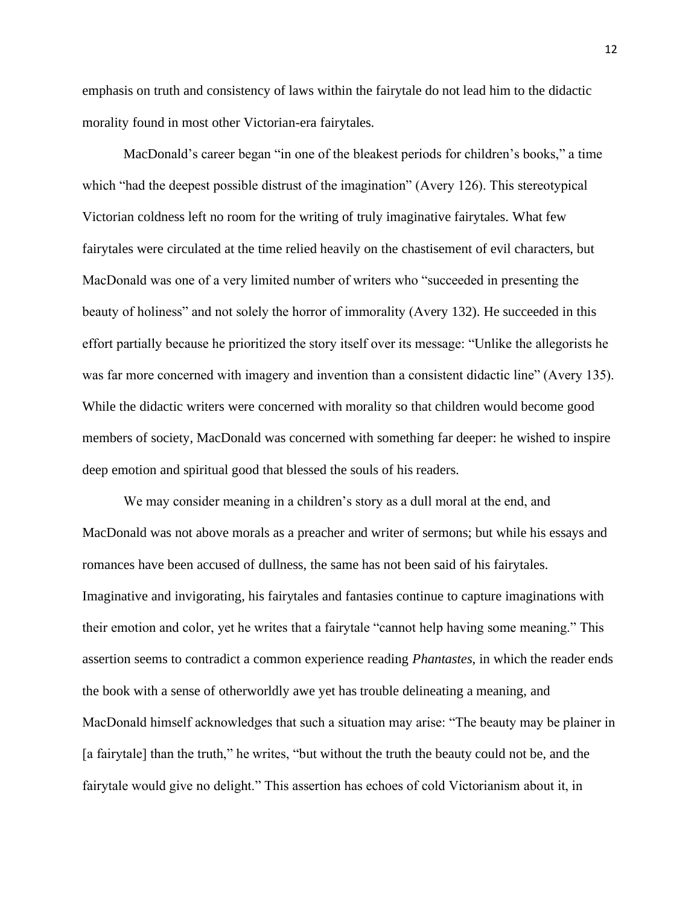emphasis on truth and consistency of laws within the fairytale do not lead him to the didactic morality found in most other Victorian-era fairytales.

MacDonald's career began "in one of the bleakest periods for children's books," a time which "had the deepest possible distrust of the imagination" (Avery 126). This stereotypical Victorian coldness left no room for the writing of truly imaginative fairytales. What few fairytales were circulated at the time relied heavily on the chastisement of evil characters, but MacDonald was one of a very limited number of writers who "succeeded in presenting the beauty of holiness" and not solely the horror of immorality (Avery 132). He succeeded in this effort partially because he prioritized the story itself over its message: "Unlike the allegorists he was far more concerned with imagery and invention than a consistent didactic line" (Avery 135). While the didactic writers were concerned with morality so that children would become good members of society, MacDonald was concerned with something far deeper: he wished to inspire deep emotion and spiritual good that blessed the souls of his readers.

We may consider meaning in a children's story as a dull moral at the end, and MacDonald was not above morals as a preacher and writer of sermons; but while his essays and romances have been accused of dullness, the same has not been said of his fairytales. Imaginative and invigorating, his fairytales and fantasies continue to capture imaginations with their emotion and color, yet he writes that a fairytale "cannot help having some meaning." This assertion seems to contradict a common experience reading *Phantastes*, in which the reader ends the book with a sense of otherworldly awe yet has trouble delineating a meaning, and MacDonald himself acknowledges that such a situation may arise: "The beauty may be plainer in [a fairytale] than the truth," he writes, "but without the truth the beauty could not be, and the fairytale would give no delight." This assertion has echoes of cold Victorianism about it, in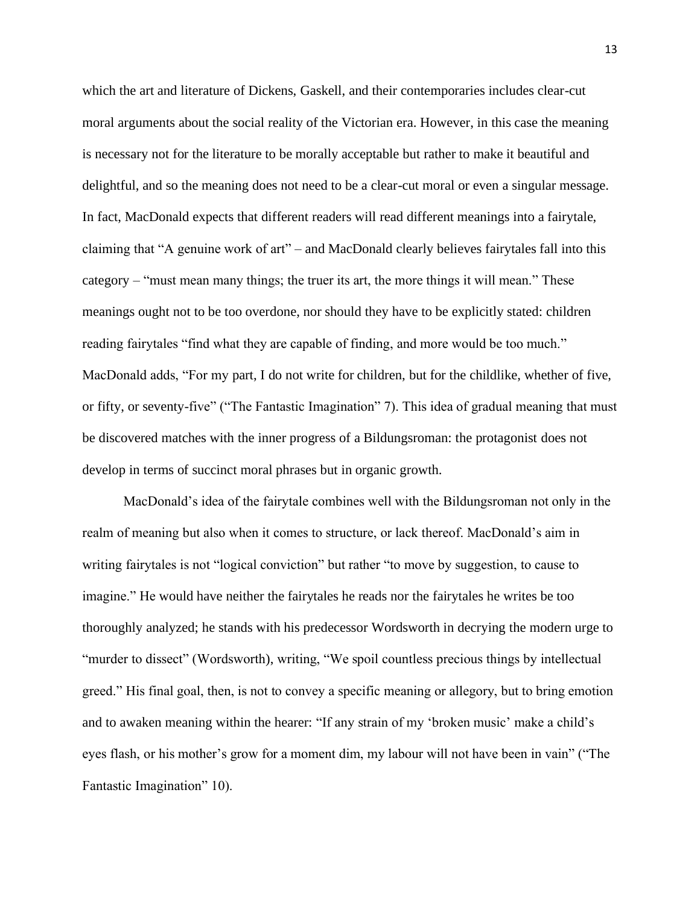which the art and literature of Dickens, Gaskell, and their contemporaries includes clear-cut moral arguments about the social reality of the Victorian era. However, in this case the meaning is necessary not for the literature to be morally acceptable but rather to make it beautiful and delightful, and so the meaning does not need to be a clear-cut moral or even a singular message. In fact, MacDonald expects that different readers will read different meanings into a fairytale, claiming that "A genuine work of art" – and MacDonald clearly believes fairytales fall into this category – "must mean many things; the truer its art, the more things it will mean." These meanings ought not to be too overdone, nor should they have to be explicitly stated: children reading fairytales "find what they are capable of finding, and more would be too much." MacDonald adds, "For my part, I do not write for children, but for the childlike, whether of five, or fifty, or seventy-five" ("The Fantastic Imagination" 7). This idea of gradual meaning that must be discovered matches with the inner progress of a Bildungsroman: the protagonist does not develop in terms of succinct moral phrases but in organic growth.

MacDonald's idea of the fairytale combines well with the Bildungsroman not only in the realm of meaning but also when it comes to structure, or lack thereof. MacDonald's aim in writing fairytales is not "logical conviction" but rather "to move by suggestion, to cause to imagine." He would have neither the fairytales he reads nor the fairytales he writes be too thoroughly analyzed; he stands with his predecessor Wordsworth in decrying the modern urge to "murder to dissect" (Wordsworth), writing, "We spoil countless precious things by intellectual greed." His final goal, then, is not to convey a specific meaning or allegory, but to bring emotion and to awaken meaning within the hearer: "If any strain of my 'broken music' make a child's eyes flash, or his mother's grow for a moment dim, my labour will not have been in vain" ("The Fantastic Imagination" 10).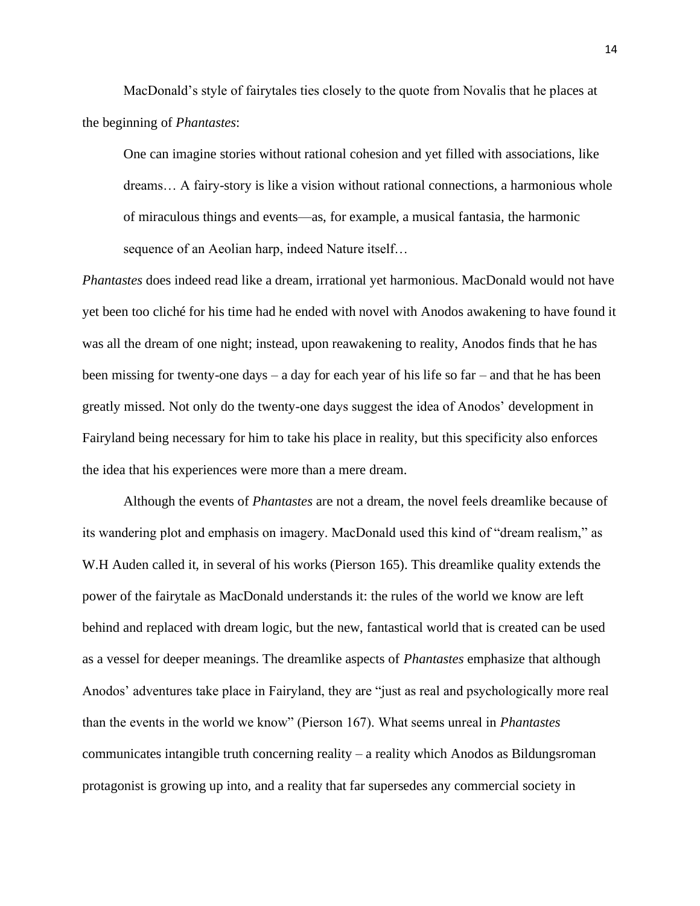MacDonald's style of fairytales ties closely to the quote from Novalis that he places at the beginning of *Phantastes*:

One can imagine stories without rational cohesion and yet filled with associations, like dreams… A fairy-story is like a vision without rational connections, a harmonious whole of miraculous things and events—as, for example, a musical fantasia, the harmonic sequence of an Aeolian harp, indeed Nature itself…

*Phantastes* does indeed read like a dream, irrational yet harmonious. MacDonald would not have yet been too cliché for his time had he ended with novel with Anodos awakening to have found it was all the dream of one night; instead, upon reawakening to reality, Anodos finds that he has been missing for twenty-one days – a day for each year of his life so far – and that he has been greatly missed. Not only do the twenty-one days suggest the idea of Anodos' development in Fairyland being necessary for him to take his place in reality, but this specificity also enforces the idea that his experiences were more than a mere dream.

Although the events of *Phantastes* are not a dream, the novel feels dreamlike because of its wandering plot and emphasis on imagery. MacDonald used this kind of "dream realism," as W.H Auden called it, in several of his works (Pierson 165). This dreamlike quality extends the power of the fairytale as MacDonald understands it: the rules of the world we know are left behind and replaced with dream logic, but the new, fantastical world that is created can be used as a vessel for deeper meanings. The dreamlike aspects of *Phantastes* emphasize that although Anodos' adventures take place in Fairyland, they are "just as real and psychologically more real than the events in the world we know" (Pierson 167). What seems unreal in *Phantastes*  communicates intangible truth concerning reality – a reality which Anodos as Bildungsroman protagonist is growing up into, and a reality that far supersedes any commercial society in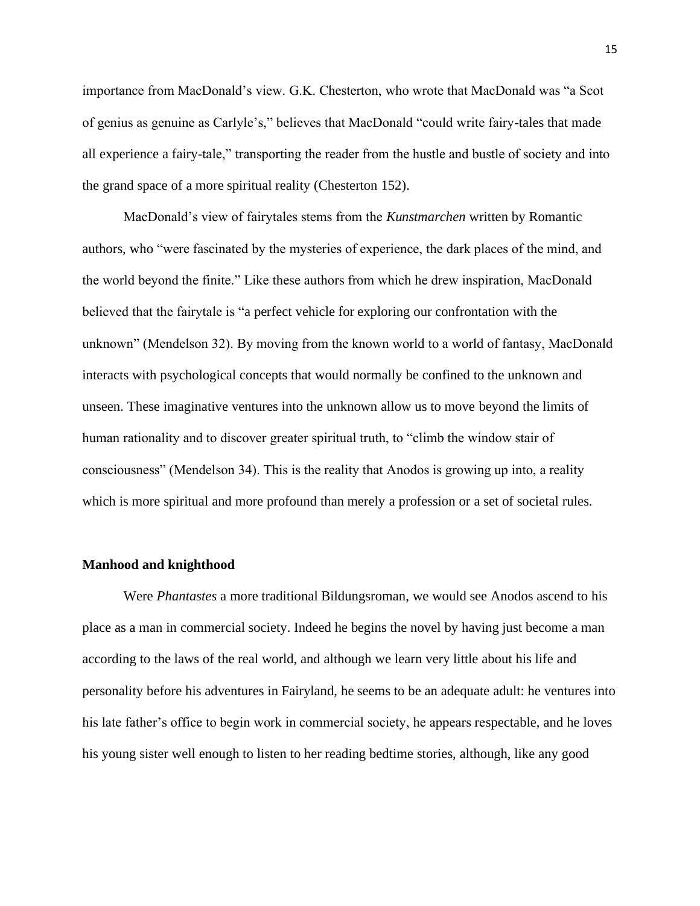importance from MacDonald's view. G.K. Chesterton, who wrote that MacDonald was "a Scot of genius as genuine as Carlyle's," believes that MacDonald "could write fairy-tales that made all experience a fairy-tale," transporting the reader from the hustle and bustle of society and into the grand space of a more spiritual reality (Chesterton 152).

MacDonald's view of fairytales stems from the *Kunstmarchen* written by Romantic authors, who "were fascinated by the mysteries of experience, the dark places of the mind, and the world beyond the finite." Like these authors from which he drew inspiration, MacDonald believed that the fairytale is "a perfect vehicle for exploring our confrontation with the unknown" (Mendelson 32). By moving from the known world to a world of fantasy, MacDonald interacts with psychological concepts that would normally be confined to the unknown and unseen. These imaginative ventures into the unknown allow us to move beyond the limits of human rationality and to discover greater spiritual truth, to "climb the window stair of consciousness" (Mendelson 34). This is the reality that Anodos is growing up into, a reality which is more spiritual and more profound than merely a profession or a set of societal rules.

#### **Manhood and knighthood**

Were *Phantastes* a more traditional Bildungsroman, we would see Anodos ascend to his place as a man in commercial society. Indeed he begins the novel by having just become a man according to the laws of the real world, and although we learn very little about his life and personality before his adventures in Fairyland, he seems to be an adequate adult: he ventures into his late father's office to begin work in commercial society, he appears respectable, and he loves his young sister well enough to listen to her reading bedtime stories, although, like any good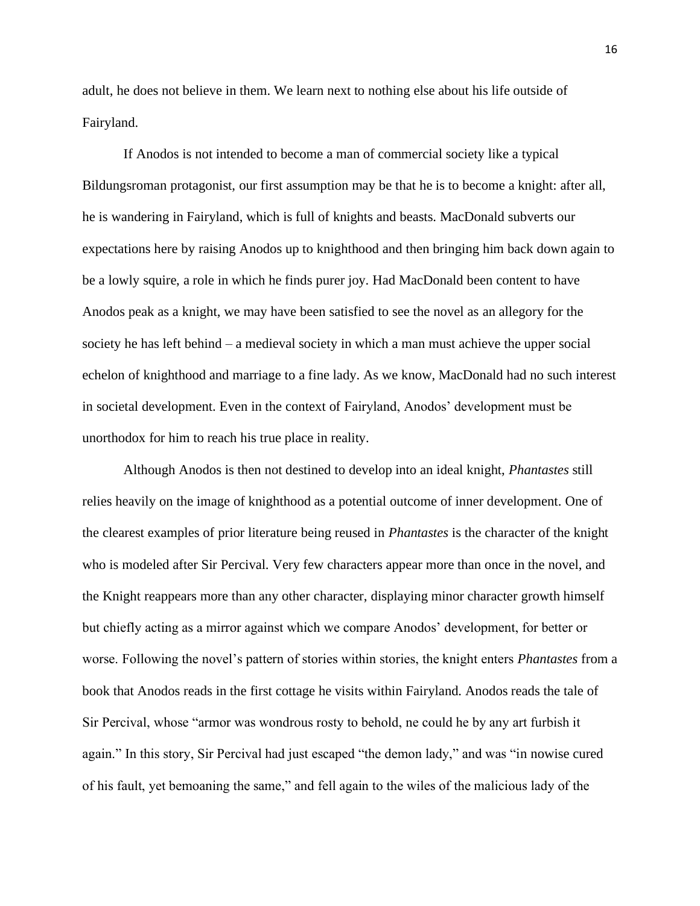adult, he does not believe in them. We learn next to nothing else about his life outside of Fairyland.

If Anodos is not intended to become a man of commercial society like a typical Bildungsroman protagonist, our first assumption may be that he is to become a knight: after all, he is wandering in Fairyland, which is full of knights and beasts. MacDonald subverts our expectations here by raising Anodos up to knighthood and then bringing him back down again to be a lowly squire, a role in which he finds purer joy. Had MacDonald been content to have Anodos peak as a knight, we may have been satisfied to see the novel as an allegory for the society he has left behind – a medieval society in which a man must achieve the upper social echelon of knighthood and marriage to a fine lady. As we know, MacDonald had no such interest in societal development. Even in the context of Fairyland, Anodos' development must be unorthodox for him to reach his true place in reality.

Although Anodos is then not destined to develop into an ideal knight, *Phantastes* still relies heavily on the image of knighthood as a potential outcome of inner development. One of the clearest examples of prior literature being reused in *Phantastes* is the character of the knight who is modeled after Sir Percival. Very few characters appear more than once in the novel, and the Knight reappears more than any other character, displaying minor character growth himself but chiefly acting as a mirror against which we compare Anodos' development, for better or worse. Following the novel's pattern of stories within stories, the knight enters *Phantastes* from a book that Anodos reads in the first cottage he visits within Fairyland. Anodos reads the tale of Sir Percival, whose "armor was wondrous rosty to behold, ne could he by any art furbish it again." In this story, Sir Percival had just escaped "the demon lady," and was "in nowise cured of his fault, yet bemoaning the same," and fell again to the wiles of the malicious lady of the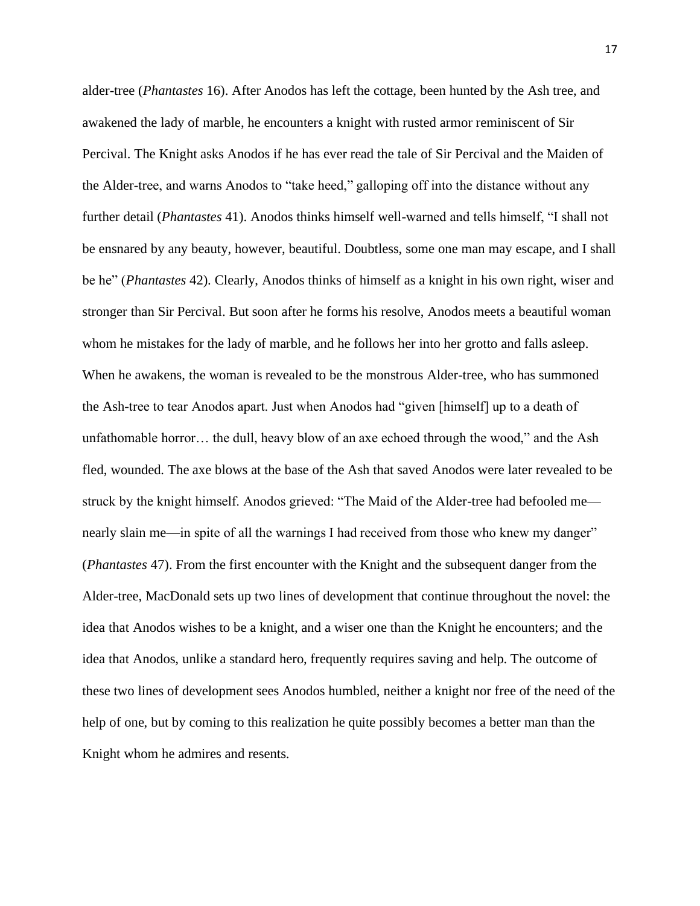alder-tree (*Phantastes* 16). After Anodos has left the cottage, been hunted by the Ash tree, and awakened the lady of marble, he encounters a knight with rusted armor reminiscent of Sir Percival. The Knight asks Anodos if he has ever read the tale of Sir Percival and the Maiden of the Alder-tree, and warns Anodos to "take heed," galloping off into the distance without any further detail (*Phantastes* 41). Anodos thinks himself well-warned and tells himself, "I shall not be ensnared by any beauty, however, beautiful. Doubtless, some one man may escape, and I shall be he" (*Phantastes* 42). Clearly, Anodos thinks of himself as a knight in his own right, wiser and stronger than Sir Percival. But soon after he forms his resolve, Anodos meets a beautiful woman whom he mistakes for the lady of marble, and he follows her into her grotto and falls asleep. When he awakens, the woman is revealed to be the monstrous Alder-tree, who has summoned the Ash-tree to tear Anodos apart. Just when Anodos had "given [himself] up to a death of unfathomable horror… the dull, heavy blow of an axe echoed through the wood," and the Ash fled, wounded. The axe blows at the base of the Ash that saved Anodos were later revealed to be struck by the knight himself. Anodos grieved: "The Maid of the Alder-tree had befooled me nearly slain me—in spite of all the warnings I had received from those who knew my danger" (*Phantastes* 47). From the first encounter with the Knight and the subsequent danger from the Alder-tree, MacDonald sets up two lines of development that continue throughout the novel: the idea that Anodos wishes to be a knight, and a wiser one than the Knight he encounters; and the idea that Anodos, unlike a standard hero, frequently requires saving and help. The outcome of these two lines of development sees Anodos humbled, neither a knight nor free of the need of the help of one, but by coming to this realization he quite possibly becomes a better man than the Knight whom he admires and resents.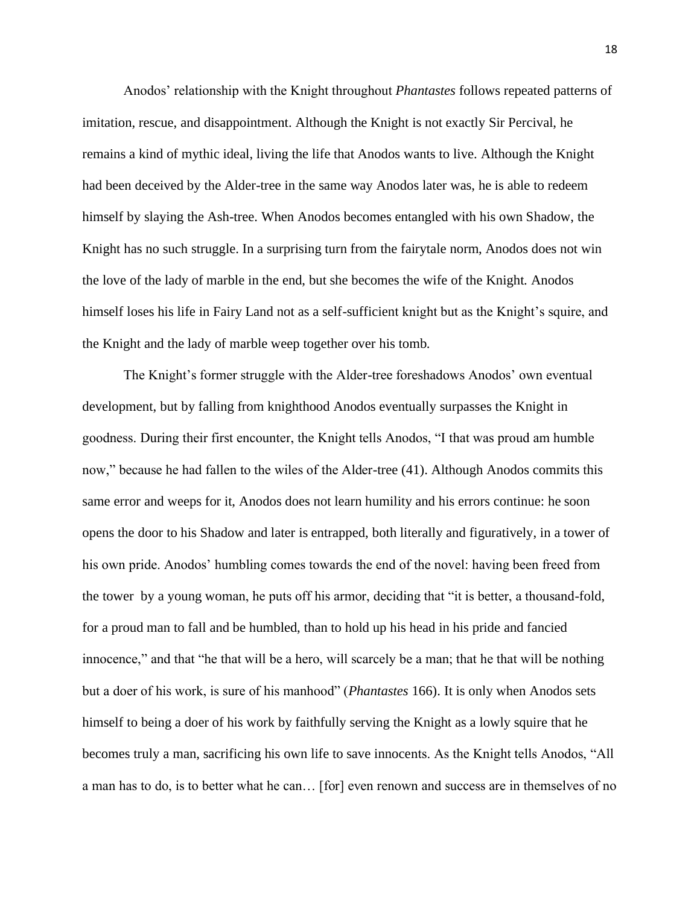Anodos' relationship with the Knight throughout *Phantastes* follows repeated patterns of imitation, rescue, and disappointment. Although the Knight is not exactly Sir Percival, he remains a kind of mythic ideal, living the life that Anodos wants to live. Although the Knight had been deceived by the Alder-tree in the same way Anodos later was, he is able to redeem himself by slaying the Ash-tree. When Anodos becomes entangled with his own Shadow, the Knight has no such struggle. In a surprising turn from the fairytale norm, Anodos does not win the love of the lady of marble in the end, but she becomes the wife of the Knight. Anodos himself loses his life in Fairy Land not as a self-sufficient knight but as the Knight's squire, and the Knight and the lady of marble weep together over his tomb.

The Knight's former struggle with the Alder-tree foreshadows Anodos' own eventual development, but by falling from knighthood Anodos eventually surpasses the Knight in goodness. During their first encounter, the Knight tells Anodos, "I that was proud am humble now," because he had fallen to the wiles of the Alder-tree (41). Although Anodos commits this same error and weeps for it, Anodos does not learn humility and his errors continue: he soon opens the door to his Shadow and later is entrapped, both literally and figuratively, in a tower of his own pride. Anodos' humbling comes towards the end of the novel: having been freed from the tower by a young woman, he puts off his armor, deciding that "it is better, a thousand-fold, for a proud man to fall and be humbled, than to hold up his head in his pride and fancied innocence," and that "he that will be a hero, will scarcely be a man; that he that will be nothing but a doer of his work, is sure of his manhood" (*Phantastes* 166). It is only when Anodos sets himself to being a doer of his work by faithfully serving the Knight as a lowly squire that he becomes truly a man, sacrificing his own life to save innocents. As the Knight tells Anodos, "All a man has to do, is to better what he can… [for] even renown and success are in themselves of no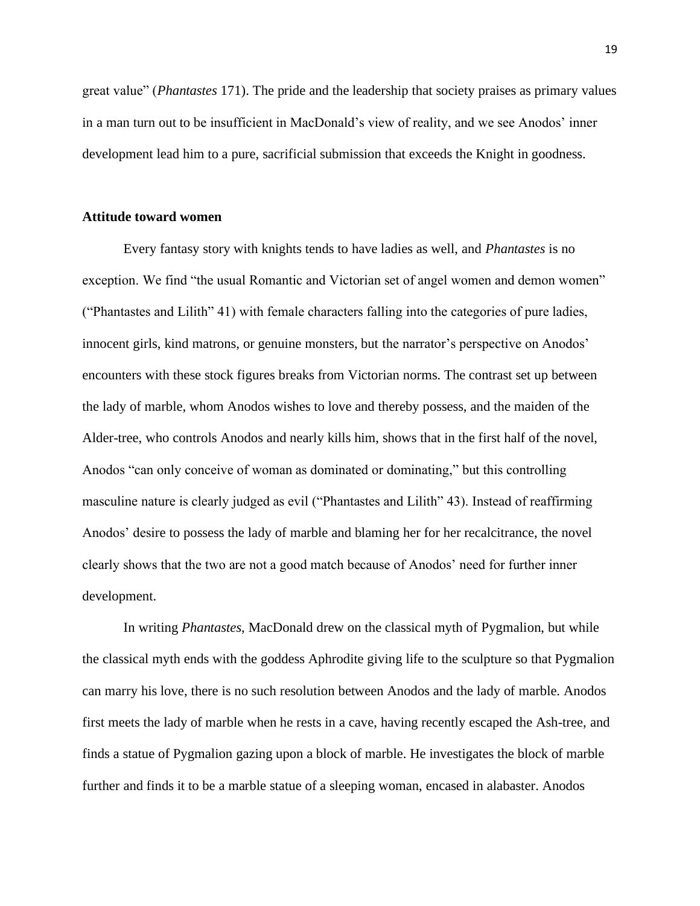great value" (*Phantastes* 171). The pride and the leadership that society praises as primary values in a man turn out to be insufficient in MacDonald's view of reality, and we see Anodos' inner development lead him to a pure, sacrificial submission that exceeds the Knight in goodness.

#### **Attitude toward women**

Every fantasy story with knights tends to have ladies as well, and *Phantastes* is no exception. We find "the usual Romantic and Victorian set of angel women and demon women" ("Phantastes and Lilith" 41) with female characters falling into the categories of pure ladies, innocent girls, kind matrons, or genuine monsters, but the narrator's perspective on Anodos' encounters with these stock figures breaks from Victorian norms. The contrast set up between the lady of marble, whom Anodos wishes to love and thereby possess, and the maiden of the Alder-tree, who controls Anodos and nearly kills him, shows that in the first half of the novel, Anodos "can only conceive of woman as dominated or dominating," but this controlling masculine nature is clearly judged as evil ("Phantastes and Lilith" 43). Instead of reaffirming Anodos' desire to possess the lady of marble and blaming her for her recalcitrance, the novel clearly shows that the two are not a good match because of Anodos' need for further inner development.

In writing *Phantastes*, MacDonald drew on the classical myth of Pygmalion, but while the classical myth ends with the goddess Aphrodite giving life to the sculpture so that Pygmalion can marry his love, there is no such resolution between Anodos and the lady of marble. Anodos first meets the lady of marble when he rests in a cave, having recently escaped the Ash-tree, and finds a statue of Pygmalion gazing upon a block of marble. He investigates the block of marble further and finds it to be a marble statue of a sleeping woman, encased in alabaster. Anodos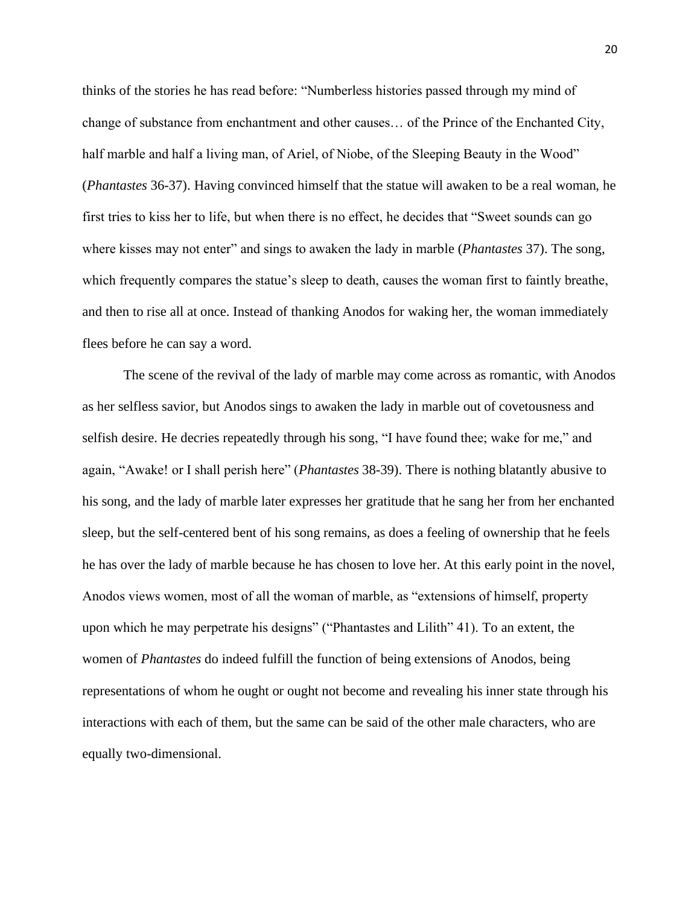thinks of the stories he has read before: "Numberless histories passed through my mind of change of substance from enchantment and other causes… of the Prince of the Enchanted City, half marble and half a living man, of Ariel, of Niobe, of the Sleeping Beauty in the Wood" (*Phantastes* 36-37). Having convinced himself that the statue will awaken to be a real woman, he first tries to kiss her to life, but when there is no effect, he decides that "Sweet sounds can go where kisses may not enter" and sings to awaken the lady in marble (*Phantastes* 37). The song, which frequently compares the statue's sleep to death, causes the woman first to faintly breathe, and then to rise all at once. Instead of thanking Anodos for waking her, the woman immediately flees before he can say a word.

The scene of the revival of the lady of marble may come across as romantic, with Anodos as her selfless savior, but Anodos sings to awaken the lady in marble out of covetousness and selfish desire. He decries repeatedly through his song, "I have found thee; wake for me," and again, "Awake! or I shall perish here" (*Phantastes* 38-39). There is nothing blatantly abusive to his song, and the lady of marble later expresses her gratitude that he sang her from her enchanted sleep, but the self-centered bent of his song remains, as does a feeling of ownership that he feels he has over the lady of marble because he has chosen to love her. At this early point in the novel, Anodos views women, most of all the woman of marble, as "extensions of himself, property upon which he may perpetrate his designs" ("Phantastes and Lilith" 41). To an extent, the women of *Phantastes* do indeed fulfill the function of being extensions of Anodos, being representations of whom he ought or ought not become and revealing his inner state through his interactions with each of them, but the same can be said of the other male characters, who are equally two-dimensional.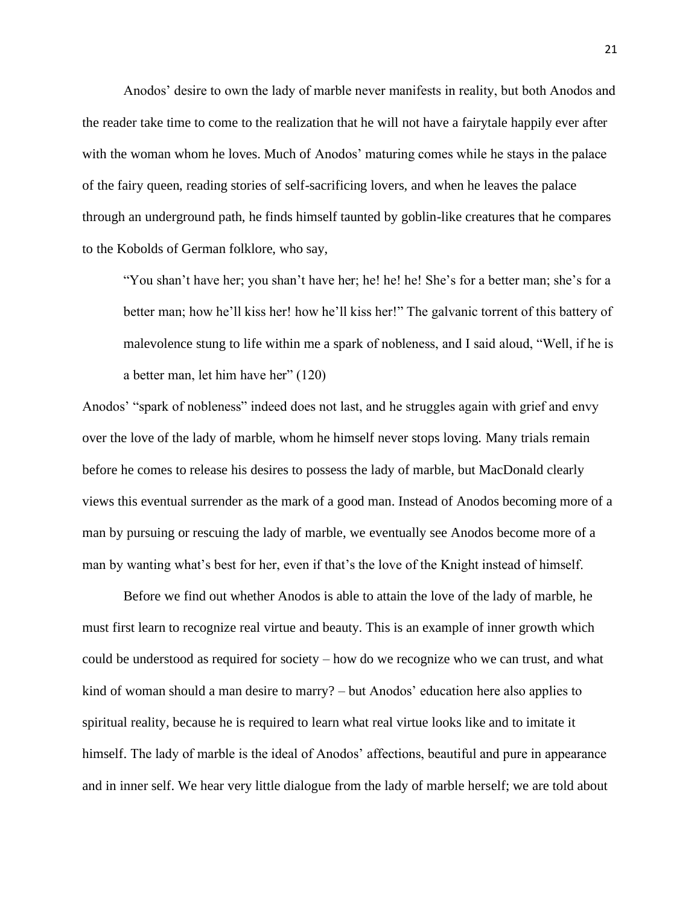Anodos' desire to own the lady of marble never manifests in reality, but both Anodos and the reader take time to come to the realization that he will not have a fairytale happily ever after with the woman whom he loves. Much of Anodos' maturing comes while he stays in the palace of the fairy queen, reading stories of self-sacrificing lovers, and when he leaves the palace through an underground path, he finds himself taunted by goblin-like creatures that he compares to the Kobolds of German folklore, who say,

"You shan't have her; you shan't have her; he! he! he! She's for a better man; she's for a better man; how he'll kiss her! how he'll kiss her!" The galvanic torrent of this battery of malevolence stung to life within me a spark of nobleness, and I said aloud, "Well, if he is a better man, let him have her" (120)

Anodos' "spark of nobleness" indeed does not last, and he struggles again with grief and envy over the love of the lady of marble, whom he himself never stops loving. Many trials remain before he comes to release his desires to possess the lady of marble, but MacDonald clearly views this eventual surrender as the mark of a good man. Instead of Anodos becoming more of a man by pursuing or rescuing the lady of marble, we eventually see Anodos become more of a man by wanting what's best for her, even if that's the love of the Knight instead of himself.

Before we find out whether Anodos is able to attain the love of the lady of marble, he must first learn to recognize real virtue and beauty. This is an example of inner growth which could be understood as required for society – how do we recognize who we can trust, and what kind of woman should a man desire to marry? – but Anodos' education here also applies to spiritual reality, because he is required to learn what real virtue looks like and to imitate it himself. The lady of marble is the ideal of Anodos' affections, beautiful and pure in appearance and in inner self. We hear very little dialogue from the lady of marble herself; we are told about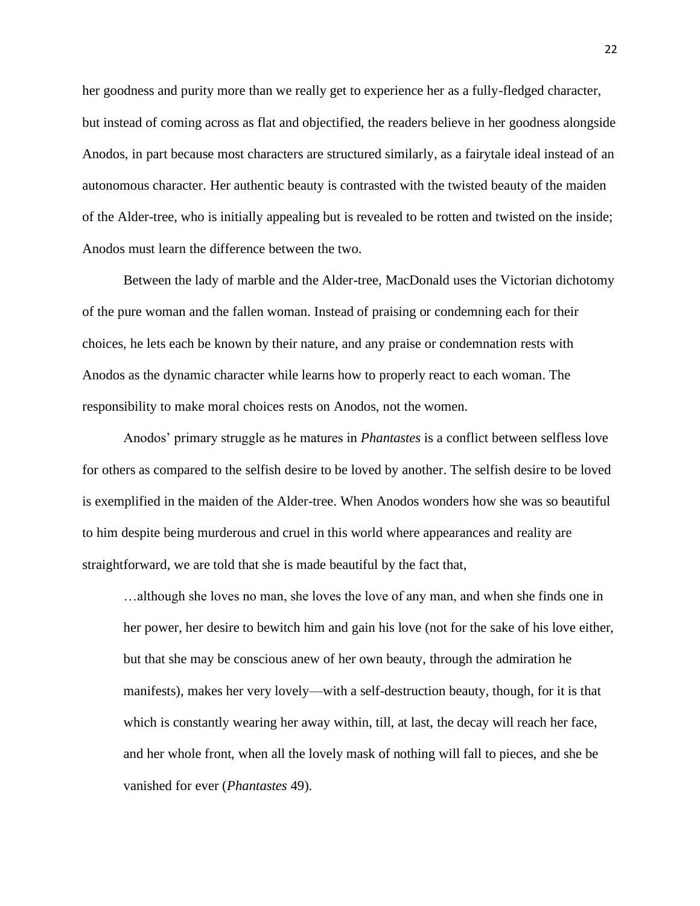her goodness and purity more than we really get to experience her as a fully-fledged character, but instead of coming across as flat and objectified, the readers believe in her goodness alongside Anodos, in part because most characters are structured similarly, as a fairytale ideal instead of an autonomous character. Her authentic beauty is contrasted with the twisted beauty of the maiden of the Alder-tree, who is initially appealing but is revealed to be rotten and twisted on the inside; Anodos must learn the difference between the two.

Between the lady of marble and the Alder-tree, MacDonald uses the Victorian dichotomy of the pure woman and the fallen woman. Instead of praising or condemning each for their choices, he lets each be known by their nature, and any praise or condemnation rests with Anodos as the dynamic character while learns how to properly react to each woman. The responsibility to make moral choices rests on Anodos, not the women.

Anodos' primary struggle as he matures in *Phantastes* is a conflict between selfless love for others as compared to the selfish desire to be loved by another. The selfish desire to be loved is exemplified in the maiden of the Alder-tree. When Anodos wonders how she was so beautiful to him despite being murderous and cruel in this world where appearances and reality are straightforward, we are told that she is made beautiful by the fact that,

…although she loves no man, she loves the love of any man, and when she finds one in her power, her desire to bewitch him and gain his love (not for the sake of his love either, but that she may be conscious anew of her own beauty, through the admiration he manifests), makes her very lovely—with a self-destruction beauty, though, for it is that which is constantly wearing her away within, till, at last, the decay will reach her face, and her whole front, when all the lovely mask of nothing will fall to pieces, and she be vanished for ever (*Phantastes* 49).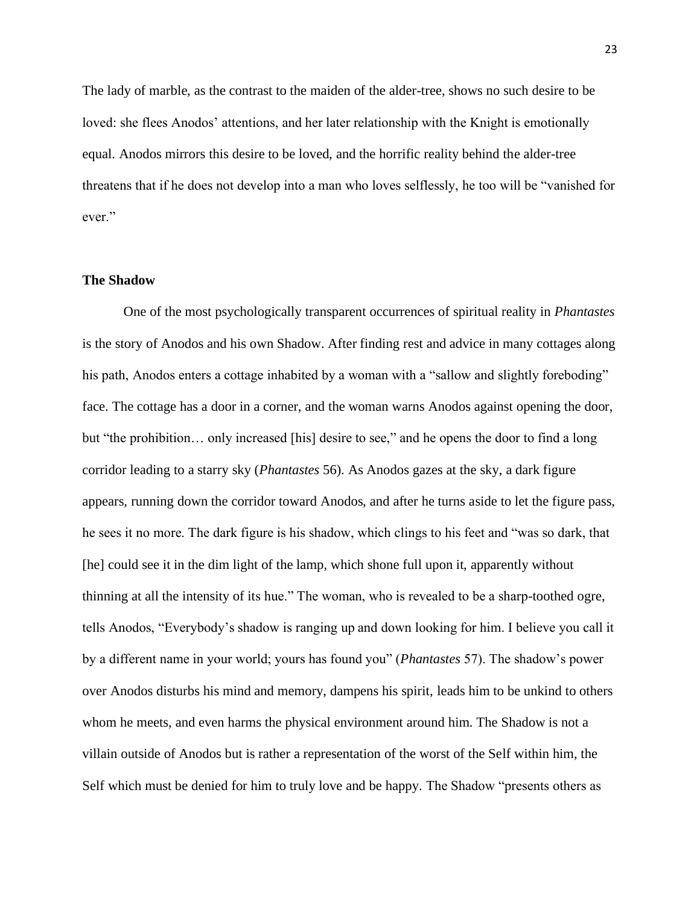The lady of marble, as the contrast to the maiden of the alder-tree, shows no such desire to be loved: she flees Anodos' attentions, and her later relationship with the Knight is emotionally equal. Anodos mirrors this desire to be loved, and the horrific reality behind the alder-tree threatens that if he does not develop into a man who loves selflessly, he too will be "vanished for ever."

#### **The Shadow**

One of the most psychologically transparent occurrences of spiritual reality in *Phantastes*  is the story of Anodos and his own Shadow. After finding rest and advice in many cottages along his path, Anodos enters a cottage inhabited by a woman with a "sallow and slightly foreboding" face. The cottage has a door in a corner, and the woman warns Anodos against opening the door, but "the prohibition… only increased [his] desire to see," and he opens the door to find a long corridor leading to a starry sky (*Phantastes* 56). As Anodos gazes at the sky, a dark figure appears, running down the corridor toward Anodos, and after he turns aside to let the figure pass, he sees it no more. The dark figure is his shadow, which clings to his feet and "was so dark, that [he] could see it in the dim light of the lamp, which shone full upon it, apparently without thinning at all the intensity of its hue." The woman, who is revealed to be a sharp-toothed ogre, tells Anodos, "Everybody's shadow is ranging up and down looking for him. I believe you call it by a different name in your world; yours has found you" (*Phantastes* 57). The shadow's power over Anodos disturbs his mind and memory, dampens his spirit, leads him to be unkind to others whom he meets, and even harms the physical environment around him. The Shadow is not a villain outside of Anodos but is rather a representation of the worst of the Self within him, the Self which must be denied for him to truly love and be happy. The Shadow "presents others as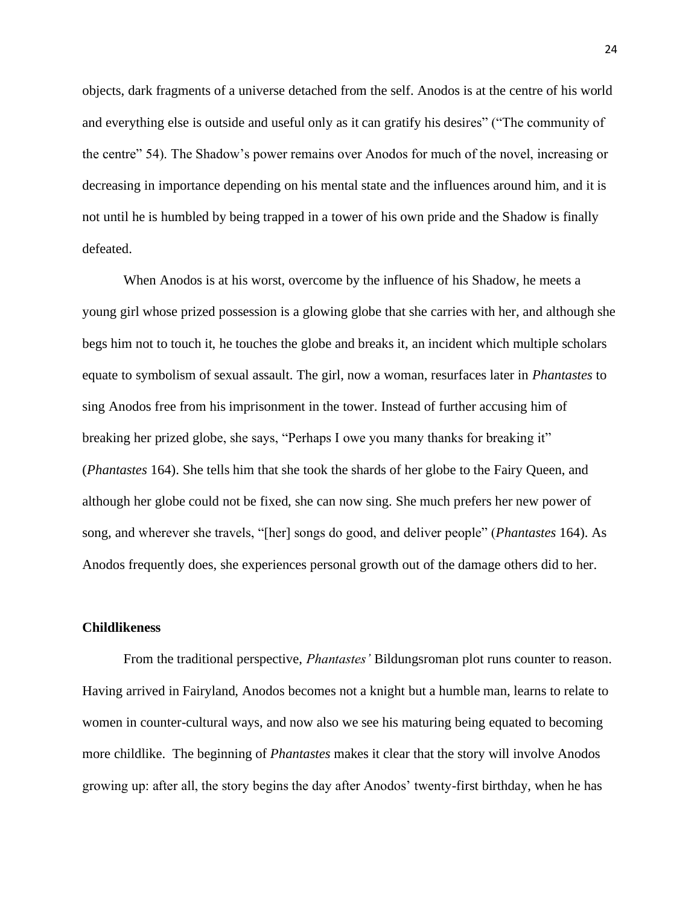objects, dark fragments of a universe detached from the self. Anodos is at the centre of his world and everything else is outside and useful only as it can gratify his desires" ("The community of the centre" 54). The Shadow's power remains over Anodos for much of the novel, increasing or decreasing in importance depending on his mental state and the influences around him, and it is not until he is humbled by being trapped in a tower of his own pride and the Shadow is finally defeated.

When Anodos is at his worst, overcome by the influence of his Shadow, he meets a young girl whose prized possession is a glowing globe that she carries with her, and although she begs him not to touch it, he touches the globe and breaks it, an incident which multiple scholars equate to symbolism of sexual assault. The girl, now a woman, resurfaces later in *Phantastes* to sing Anodos free from his imprisonment in the tower. Instead of further accusing him of breaking her prized globe, she says, "Perhaps I owe you many thanks for breaking it" (*Phantastes* 164). She tells him that she took the shards of her globe to the Fairy Queen, and although her globe could not be fixed, she can now sing. She much prefers her new power of song, and wherever she travels, "[her] songs do good, and deliver people" (*Phantastes* 164). As Anodos frequently does, she experiences personal growth out of the damage others did to her.

# **Childlikeness**

From the traditional perspective, *Phantastes'* Bildungsroman plot runs counter to reason. Having arrived in Fairyland, Anodos becomes not a knight but a humble man, learns to relate to women in counter-cultural ways, and now also we see his maturing being equated to becoming more childlike. The beginning of *Phantastes* makes it clear that the story will involve Anodos growing up: after all, the story begins the day after Anodos' twenty-first birthday, when he has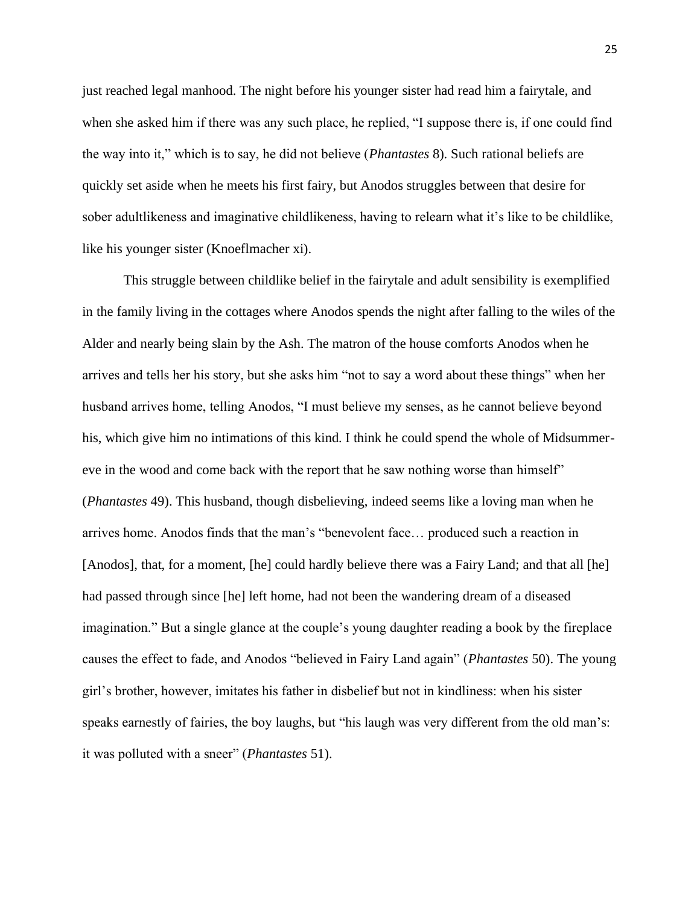just reached legal manhood. The night before his younger sister had read him a fairytale, and when she asked him if there was any such place, he replied, "I suppose there is, if one could find the way into it," which is to say, he did not believe (*Phantastes* 8). Such rational beliefs are quickly set aside when he meets his first fairy, but Anodos struggles between that desire for sober adultlikeness and imaginative childlikeness, having to relearn what it's like to be childlike, like his younger sister (Knoeflmacher xi).

This struggle between childlike belief in the fairytale and adult sensibility is exemplified in the family living in the cottages where Anodos spends the night after falling to the wiles of the Alder and nearly being slain by the Ash. The matron of the house comforts Anodos when he arrives and tells her his story, but she asks him "not to say a word about these things" when her husband arrives home, telling Anodos, "I must believe my senses, as he cannot believe beyond his, which give him no intimations of this kind. I think he could spend the whole of Midsummereve in the wood and come back with the report that he saw nothing worse than himself" (*Phantastes* 49). This husband, though disbelieving, indeed seems like a loving man when he arrives home. Anodos finds that the man's "benevolent face… produced such a reaction in [Anodos], that, for a moment, [he] could hardly believe there was a Fairy Land; and that all [he] had passed through since [he] left home, had not been the wandering dream of a diseased imagination." But a single glance at the couple's young daughter reading a book by the fireplace causes the effect to fade, and Anodos "believed in Fairy Land again" (*Phantastes* 50). The young girl's brother, however, imitates his father in disbelief but not in kindliness: when his sister speaks earnestly of fairies, the boy laughs, but "his laugh was very different from the old man's: it was polluted with a sneer" (*Phantastes* 51).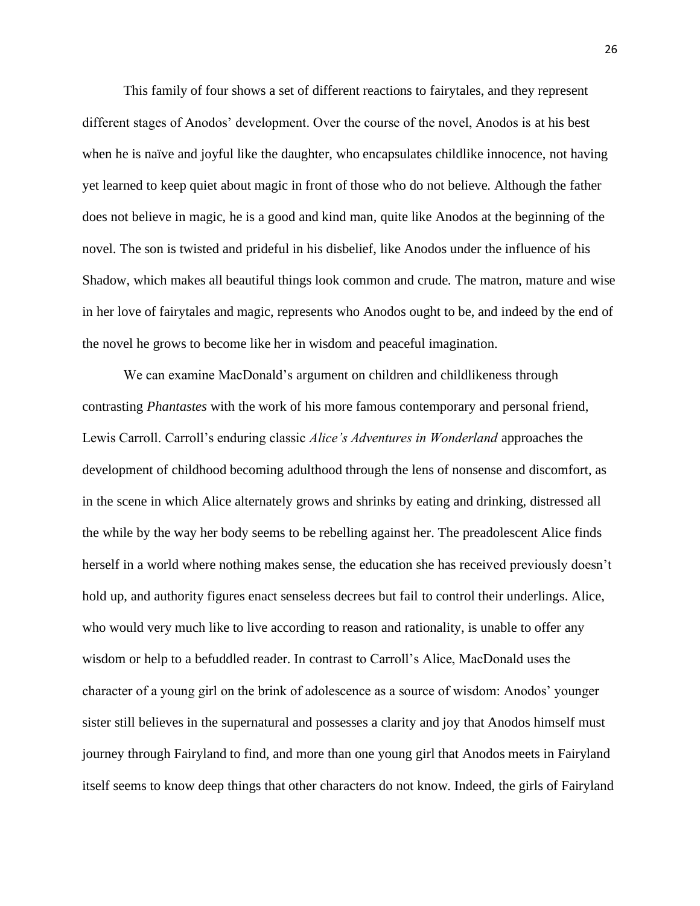This family of four shows a set of different reactions to fairytales, and they represent different stages of Anodos' development. Over the course of the novel, Anodos is at his best when he is naïve and joyful like the daughter, who encapsulates childlike innocence, not having yet learned to keep quiet about magic in front of those who do not believe. Although the father does not believe in magic, he is a good and kind man, quite like Anodos at the beginning of the novel. The son is twisted and prideful in his disbelief, like Anodos under the influence of his Shadow, which makes all beautiful things look common and crude. The matron, mature and wise in her love of fairytales and magic, represents who Anodos ought to be, and indeed by the end of the novel he grows to become like her in wisdom and peaceful imagination.

We can examine MacDonald's argument on children and childlikeness through contrasting *Phantastes* with the work of his more famous contemporary and personal friend, Lewis Carroll. Carroll's enduring classic *Alice's Adventures in Wonderland* approaches the development of childhood becoming adulthood through the lens of nonsense and discomfort, as in the scene in which Alice alternately grows and shrinks by eating and drinking, distressed all the while by the way her body seems to be rebelling against her. The preadolescent Alice finds herself in a world where nothing makes sense, the education she has received previously doesn't hold up, and authority figures enact senseless decrees but fail to control their underlings. Alice, who would very much like to live according to reason and rationality, is unable to offer any wisdom or help to a befuddled reader. In contrast to Carroll's Alice, MacDonald uses the character of a young girl on the brink of adolescence as a source of wisdom: Anodos' younger sister still believes in the supernatural and possesses a clarity and joy that Anodos himself must journey through Fairyland to find, and more than one young girl that Anodos meets in Fairyland itself seems to know deep things that other characters do not know. Indeed, the girls of Fairyland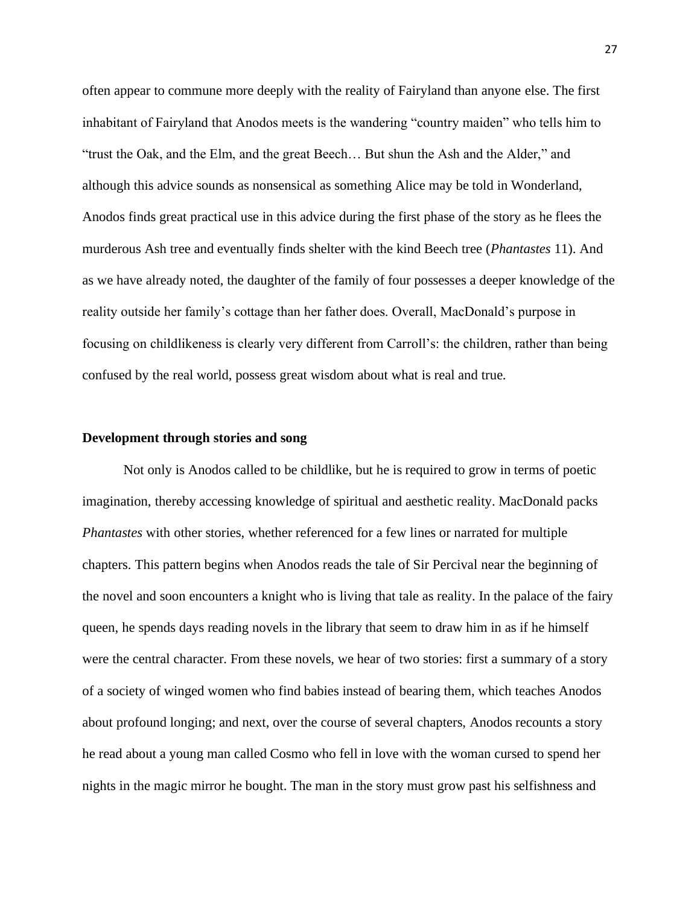often appear to commune more deeply with the reality of Fairyland than anyone else. The first inhabitant of Fairyland that Anodos meets is the wandering "country maiden" who tells him to "trust the Oak, and the Elm, and the great Beech… But shun the Ash and the Alder," and although this advice sounds as nonsensical as something Alice may be told in Wonderland, Anodos finds great practical use in this advice during the first phase of the story as he flees the murderous Ash tree and eventually finds shelter with the kind Beech tree (*Phantastes* 11). And as we have already noted, the daughter of the family of four possesses a deeper knowledge of the reality outside her family's cottage than her father does. Overall, MacDonald's purpose in focusing on childlikeness is clearly very different from Carroll's: the children, rather than being confused by the real world, possess great wisdom about what is real and true.

#### **Development through stories and song**

Not only is Anodos called to be childlike, but he is required to grow in terms of poetic imagination, thereby accessing knowledge of spiritual and aesthetic reality. MacDonald packs *Phantastes* with other stories, whether referenced for a few lines or narrated for multiple chapters. This pattern begins when Anodos reads the tale of Sir Percival near the beginning of the novel and soon encounters a knight who is living that tale as reality. In the palace of the fairy queen, he spends days reading novels in the library that seem to draw him in as if he himself were the central character. From these novels, we hear of two stories: first a summary of a story of a society of winged women who find babies instead of bearing them, which teaches Anodos about profound longing; and next, over the course of several chapters, Anodos recounts a story he read about a young man called Cosmo who fell in love with the woman cursed to spend her nights in the magic mirror he bought. The man in the story must grow past his selfishness and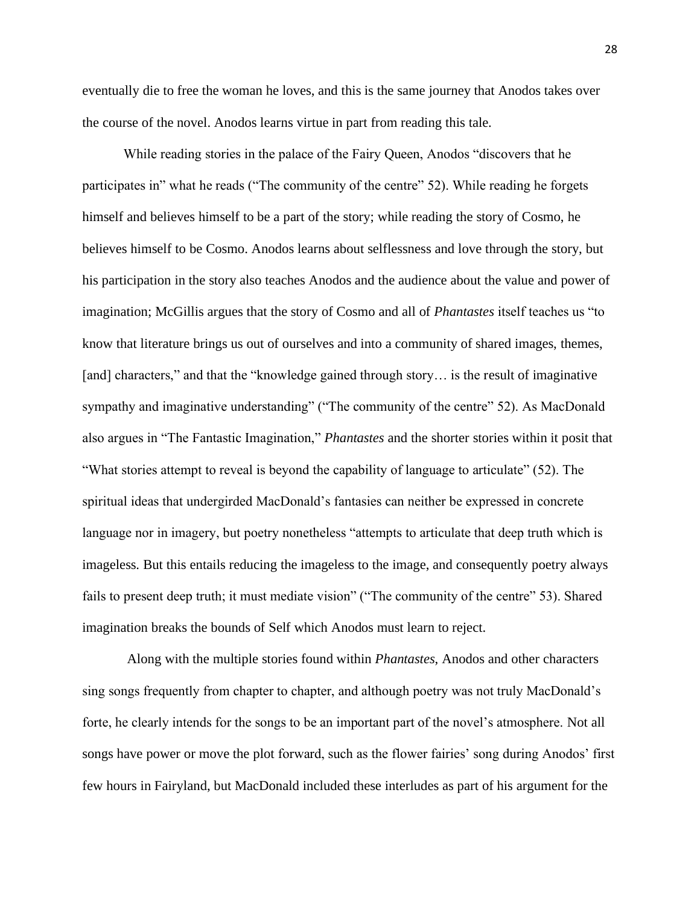eventually die to free the woman he loves, and this is the same journey that Anodos takes over the course of the novel. Anodos learns virtue in part from reading this tale.

While reading stories in the palace of the Fairy Queen, Anodos "discovers that he participates in" what he reads ("The community of the centre" 52). While reading he forgets himself and believes himself to be a part of the story; while reading the story of Cosmo, he believes himself to be Cosmo. Anodos learns about selflessness and love through the story, but his participation in the story also teaches Anodos and the audience about the value and power of imagination; McGillis argues that the story of Cosmo and all of *Phantastes* itself teaches us "to know that literature brings us out of ourselves and into a community of shared images, themes, [and] characters," and that the "knowledge gained through story... is the result of imaginative sympathy and imaginative understanding" ("The community of the centre" 52). As MacDonald also argues in "The Fantastic Imagination," *Phantastes* and the shorter stories within it posit that "What stories attempt to reveal is beyond the capability of language to articulate" (52). The spiritual ideas that undergirded MacDonald's fantasies can neither be expressed in concrete language nor in imagery, but poetry nonetheless "attempts to articulate that deep truth which is imageless. But this entails reducing the imageless to the image, and consequently poetry always fails to present deep truth; it must mediate vision" ("The community of the centre" 53). Shared imagination breaks the bounds of Self which Anodos must learn to reject.

Along with the multiple stories found within *Phantastes*, Anodos and other characters sing songs frequently from chapter to chapter, and although poetry was not truly MacDonald's forte, he clearly intends for the songs to be an important part of the novel's atmosphere. Not all songs have power or move the plot forward, such as the flower fairies' song during Anodos' first few hours in Fairyland, but MacDonald included these interludes as part of his argument for the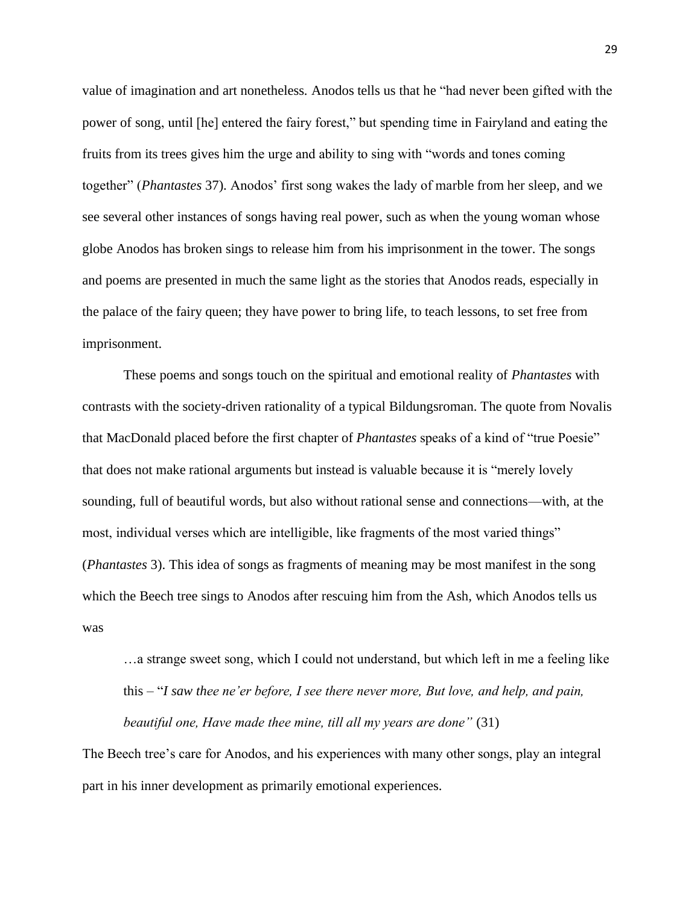value of imagination and art nonetheless. Anodos tells us that he "had never been gifted with the power of song, until [he] entered the fairy forest," but spending time in Fairyland and eating the fruits from its trees gives him the urge and ability to sing with "words and tones coming together" (*Phantastes* 37). Anodos' first song wakes the lady of marble from her sleep, and we see several other instances of songs having real power, such as when the young woman whose globe Anodos has broken sings to release him from his imprisonment in the tower. The songs and poems are presented in much the same light as the stories that Anodos reads, especially in the palace of the fairy queen; they have power to bring life, to teach lessons, to set free from imprisonment.

These poems and songs touch on the spiritual and emotional reality of *Phantastes* with contrasts with the society-driven rationality of a typical Bildungsroman. The quote from Novalis that MacDonald placed before the first chapter of *Phantastes* speaks of a kind of "true Poesie" that does not make rational arguments but instead is valuable because it is "merely lovely sounding, full of beautiful words, but also without rational sense and connections—with, at the most, individual verses which are intelligible, like fragments of the most varied things" (*Phantastes* 3). This idea of songs as fragments of meaning may be most manifest in the song which the Beech tree sings to Anodos after rescuing him from the Ash, which Anodos tells us was

…a strange sweet song, which I could not understand, but which left in me a feeling like this – "*I saw thee ne'er before, I see there never more, But love, and help, and pain, beautiful one, Have made thee mine, till all my years are done"* (31)

The Beech tree's care for Anodos, and his experiences with many other songs, play an integral part in his inner development as primarily emotional experiences.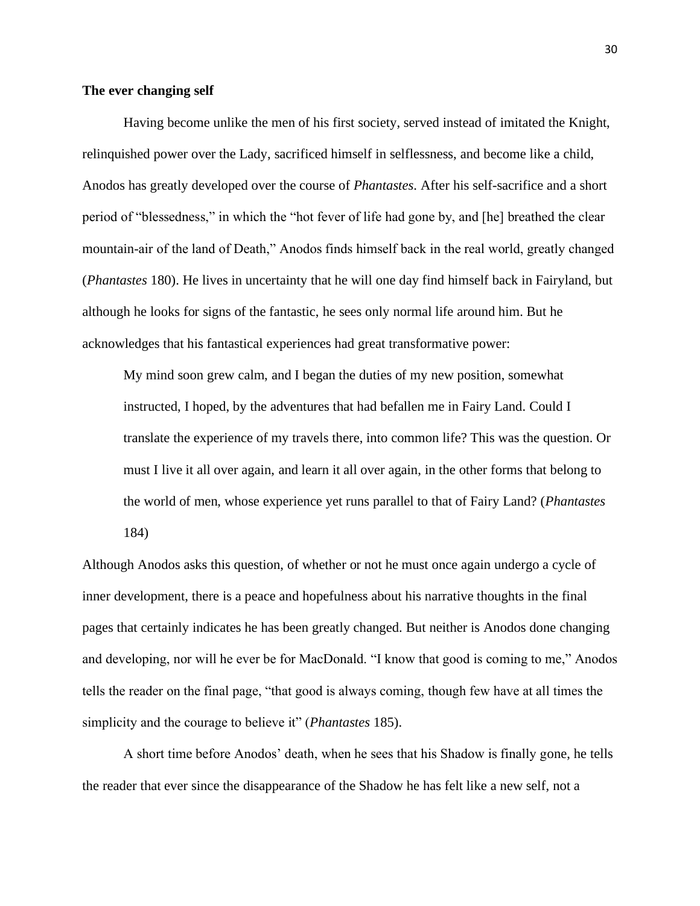## **The ever changing self**

Having become unlike the men of his first society, served instead of imitated the Knight, relinquished power over the Lady, sacrificed himself in selflessness, and become like a child, Anodos has greatly developed over the course of *Phantastes*. After his self-sacrifice and a short period of "blessedness," in which the "hot fever of life had gone by, and [he] breathed the clear mountain-air of the land of Death," Anodos finds himself back in the real world, greatly changed (*Phantastes* 180). He lives in uncertainty that he will one day find himself back in Fairyland, but although he looks for signs of the fantastic, he sees only normal life around him. But he acknowledges that his fantastical experiences had great transformative power:

My mind soon grew calm, and I began the duties of my new position, somewhat instructed, I hoped, by the adventures that had befallen me in Fairy Land. Could I translate the experience of my travels there, into common life? This was the question. Or must I live it all over again, and learn it all over again, in the other forms that belong to the world of men, whose experience yet runs parallel to that of Fairy Land? (*Phantastes*  184)

Although Anodos asks this question, of whether or not he must once again undergo a cycle of inner development, there is a peace and hopefulness about his narrative thoughts in the final pages that certainly indicates he has been greatly changed. But neither is Anodos done changing and developing, nor will he ever be for MacDonald. "I know that good is coming to me," Anodos tells the reader on the final page, "that good is always coming, though few have at all times the simplicity and the courage to believe it" (*Phantastes* 185).

A short time before Anodos' death, when he sees that his Shadow is finally gone, he tells the reader that ever since the disappearance of the Shadow he has felt like a new self, not a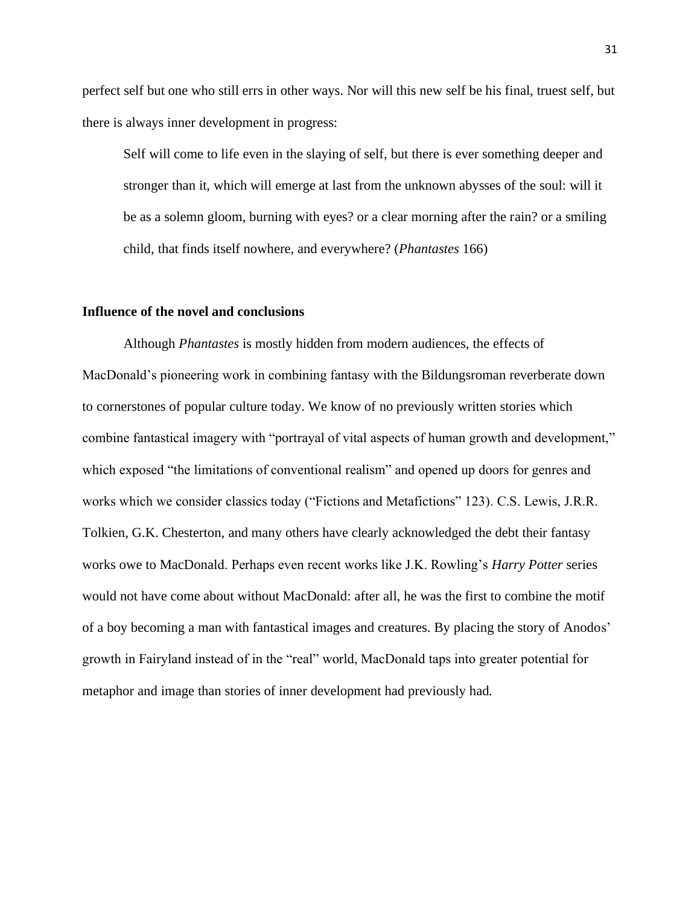perfect self but one who still errs in other ways. Nor will this new self be his final, truest self, but there is always inner development in progress:

Self will come to life even in the slaying of self, but there is ever something deeper and stronger than it, which will emerge at last from the unknown abysses of the soul: will it be as a solemn gloom, burning with eyes? or a clear morning after the rain? or a smiling child, that finds itself nowhere, and everywhere? (*Phantastes* 166)

#### **Influence of the novel and conclusions**

Although *Phantastes* is mostly hidden from modern audiences, the effects of MacDonald's pioneering work in combining fantasy with the Bildungsroman reverberate down to cornerstones of popular culture today. We know of no previously written stories which combine fantastical imagery with "portrayal of vital aspects of human growth and development," which exposed "the limitations of conventional realism" and opened up doors for genres and works which we consider classics today ("Fictions and Metafictions" 123). C.S. Lewis, J.R.R. Tolkien, G.K. Chesterton, and many others have clearly acknowledged the debt their fantasy works owe to MacDonald. Perhaps even recent works like J.K. Rowling's *Harry Potter* series would not have come about without MacDonald: after all, he was the first to combine the motif of a boy becoming a man with fantastical images and creatures. By placing the story of Anodos' growth in Fairyland instead of in the "real" world, MacDonald taps into greater potential for metaphor and image than stories of inner development had previously had.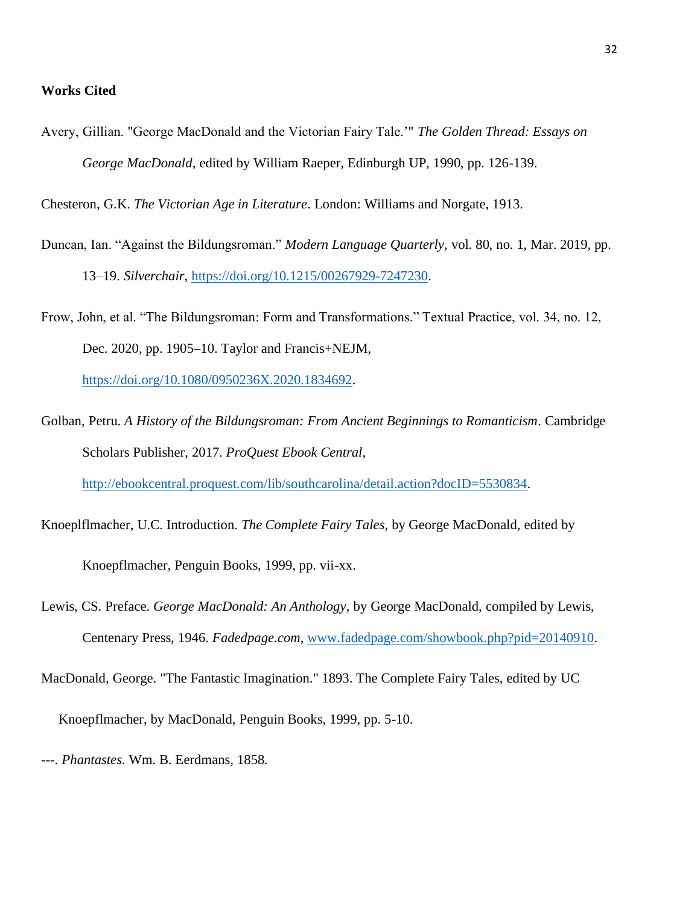#### **Works Cited**

Avery, Gillian. "George MacDonald and the Victorian Fairy Tale.'" *The Golden Thread: Essays on George MacDonald*, edited by William Raeper, Edinburgh UP, 1990, pp. 126-139.

Chesteron, G.K. *The Victorian Age in Literature*. London: Williams and Norgate, 1913.

Duncan, Ian. "Against the Bildungsroman." *Modern Language Quarterly*, vol. 80, no. 1, Mar. 2019, pp. 13–19. *Silverchair*, [https://doi.org/10.1215/00267929-7247230.](https://doi.org/10.1215/00267929-7247230)

Frow, John, et al. "The Bildungsroman: Form and Transformations." Textual Practice, vol. 34, no. 12, Dec. 2020, pp. 1905–10. Taylor and Francis+NEJM,

[https://doi.org/10.1080/0950236X.2020.1834692.](https://doi.org/10.1080/0950236X.2020.1834692)

Golban, Petru. *A History of the Bildungsroman: From Ancient Beginnings to Romanticism*. Cambridge Scholars Publisher, 2017. *ProQuest Ebook Central*,

[http://ebookcentral.proquest.com/lib/southcarolina/detail.action?docID=5530834.](http://ebookcentral.proquest.com/lib/southcarolina/detail.action?docID=5530834)

- Knoeplflmacher, U.C. Introduction. *The Complete Fairy Tales*, by George MacDonald, edited by Knoepflmacher, Penguin Books, 1999, pp. vii-xx.
- Lewis, CS. Preface. *George MacDonald: An Anthology*, by George MacDonald, compiled by Lewis, Centenary Press, 1946. *Fadedpage.com*, [www.fadedpage.com/showbook.php?pid=20140910.](http://www.fadedpage.com/showbook.php?pid=20140910)
- MacDonald, George. "The Fantastic Imagination." 1893. The Complete Fairy Tales, edited by UC Knoepflmacher, by MacDonald, Penguin Books, 1999, pp. 5-10.
- ---. *Phantastes*. Wm. B. Eerdmans, 1858.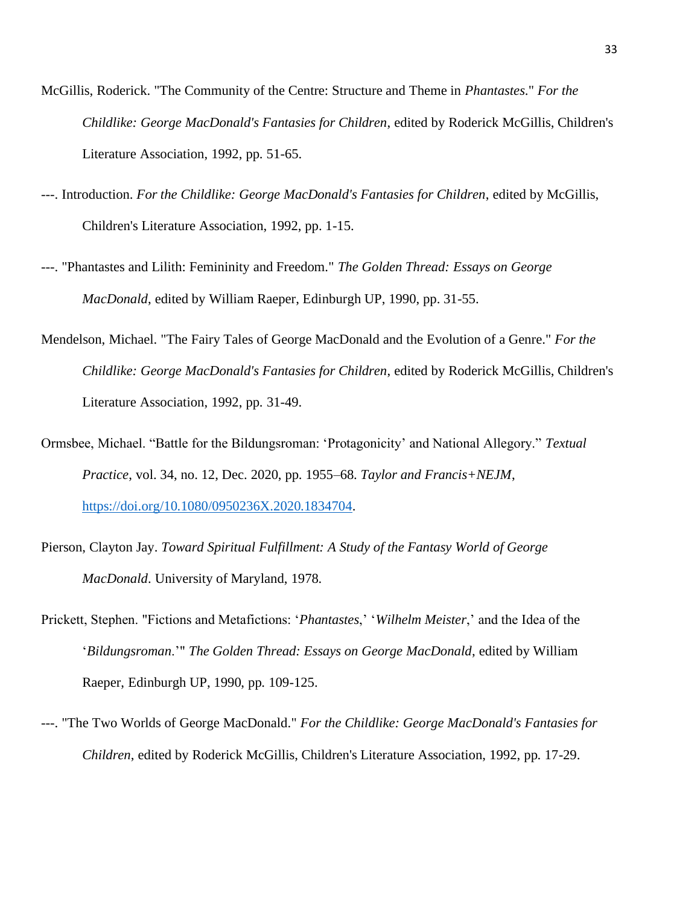- McGillis, Roderick. "The Community of the Centre: Structure and Theme in *Phantastes*." *For the Childlike: George MacDonald's Fantasies for Children*, edited by Roderick McGillis, Children's Literature Association, 1992, pp. 51-65.
- ---. Introduction. *For the Childlike: George MacDonald's Fantasies for Children*, edited by McGillis, Children's Literature Association, 1992, pp. 1-15.
- ---. "Phantastes and Lilith: Femininity and Freedom." *The Golden Thread: Essays on George MacDonald*, edited by William Raeper, Edinburgh UP, 1990, pp. 31-55.
- Mendelson, Michael. "The Fairy Tales of George MacDonald and the Evolution of a Genre." *For the Childlike: George MacDonald's Fantasies for Children*, edited by Roderick McGillis, Children's Literature Association, 1992, pp. 31-49.
- Ormsbee, Michael. "Battle for the Bildungsroman: 'Protagonicity' and National Allegory." *Textual Practice*, vol. 34, no. 12, Dec. 2020, pp. 1955–68. *Taylor and Francis+NEJM*, [https://doi.org/10.1080/0950236X.2020.1834704.](https://doi.org/10.1080/0950236X.2020.1834704)
- Pierson, Clayton Jay. *Toward Spiritual Fulfillment: A Study of the Fantasy World of George MacDonald*. University of Maryland, 1978.
- Prickett, Stephen. "Fictions and Metafictions: '*Phantastes*,' '*Wilhelm Meister*,' and the Idea of the '*Bildungsroman*.'" *The Golden Thread: Essays on George MacDonald*, edited by William Raeper, Edinburgh UP, 1990, pp. 109-125.
- ---. "The Two Worlds of George MacDonald." *For the Childlike: George MacDonald's Fantasies for Children*, edited by Roderick McGillis, Children's Literature Association, 1992, pp. 17-29.